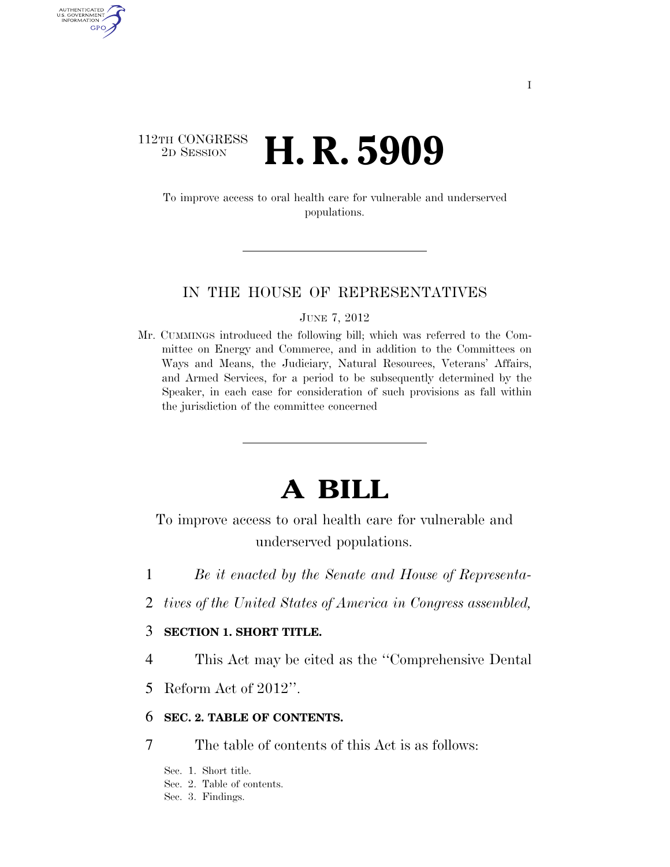# $\begin{array}{c} \textbf{112TH CONGRESS} \\ \textbf{2D} \textbf{Session} \end{array}$ 2D SESSION **H. R. 5909**

AUTHENTICATED U.S. GOVERNMENT GPO

> To improve access to oral health care for vulnerable and underserved populations.

# IN THE HOUSE OF REPRESENTATIVES

JUNE 7, 2012

Mr. CUMMINGS introduced the following bill; which was referred to the Committee on Energy and Commerce, and in addition to the Committees on Ways and Means, the Judiciary, Natural Resources, Veterans' Affairs, and Armed Services, for a period to be subsequently determined by the Speaker, in each case for consideration of such provisions as fall within the jurisdiction of the committee concerned

# **A BILL**

To improve access to oral health care for vulnerable and underserved populations.

- 1 *Be it enacted by the Senate and House of Representa-*
- 2 *tives of the United States of America in Congress assembled,*

# 3 **SECTION 1. SHORT TITLE.**

4 This Act may be cited as the ''Comprehensive Dental

5 Reform Act of 2012''.

## 6 **SEC. 2. TABLE OF CONTENTS.**

7 The table of contents of this Act is as follows:

Sec. 1. Short title. Sec. 2. Table of contents. Sec. 3. Findings.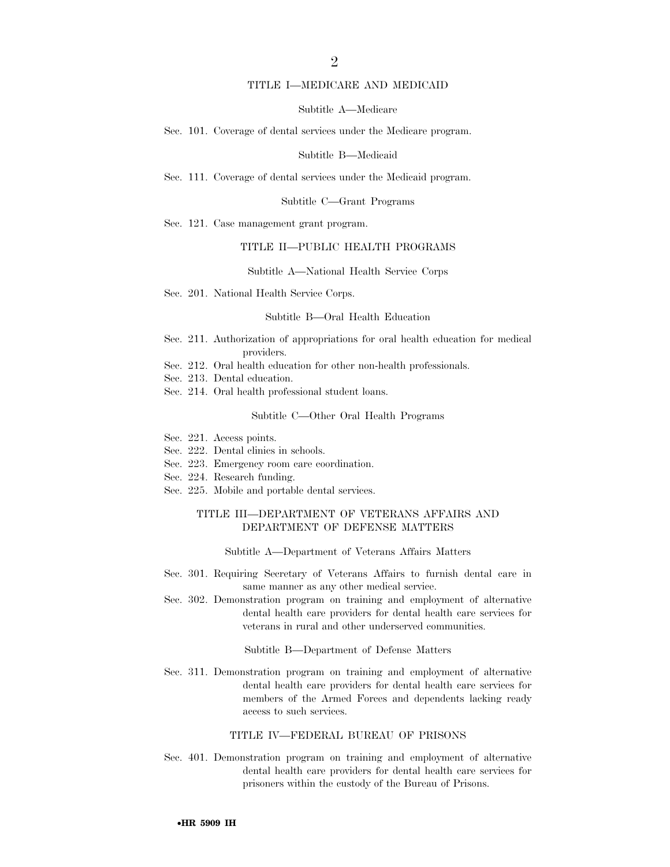### TITLE I—MEDICARE AND MEDICAID

### Subtitle A—Medicare

Sec. 101. Coverage of dental services under the Medicare program.

Subtitle B—Medicaid

Sec. 111. Coverage of dental services under the Medicaid program.

Subtitle C—Grant Programs

Sec. 121. Case management grant program.

### TITLE II—PUBLIC HEALTH PROGRAMS

Subtitle A—National Health Service Corps

Sec. 201. National Health Service Corps.

#### Subtitle B—Oral Health Education

- Sec. 211. Authorization of appropriations for oral health education for medical providers.
- Sec. 212. Oral health education for other non-health professionals.
- Sec. 213. Dental education.
- Sec. 214. Oral health professional student loans.

Subtitle C—Other Oral Health Programs

- Sec. 221. Access points.
- Sec. 222. Dental clinics in schools.
- Sec. 223. Emergency room care coordination.
- Sec. 224. Research funding.
- Sec. 225. Mobile and portable dental services.

### TITLE III—DEPARTMENT OF VETERANS AFFAIRS AND DEPARTMENT OF DEFENSE MATTERS

#### Subtitle A—Department of Veterans Affairs Matters

- Sec. 301. Requiring Secretary of Veterans Affairs to furnish dental care in same manner as any other medical service.
- Sec. 302. Demonstration program on training and employment of alternative dental health care providers for dental health care services for veterans in rural and other underserved communities.

Subtitle B—Department of Defense Matters

Sec. 311. Demonstration program on training and employment of alternative dental health care providers for dental health care services for members of the Armed Forces and dependents lacking ready access to such services.

### TITLE IV—FEDERAL BUREAU OF PRISONS

Sec. 401. Demonstration program on training and employment of alternative dental health care providers for dental health care services for prisoners within the custody of the Bureau of Prisons.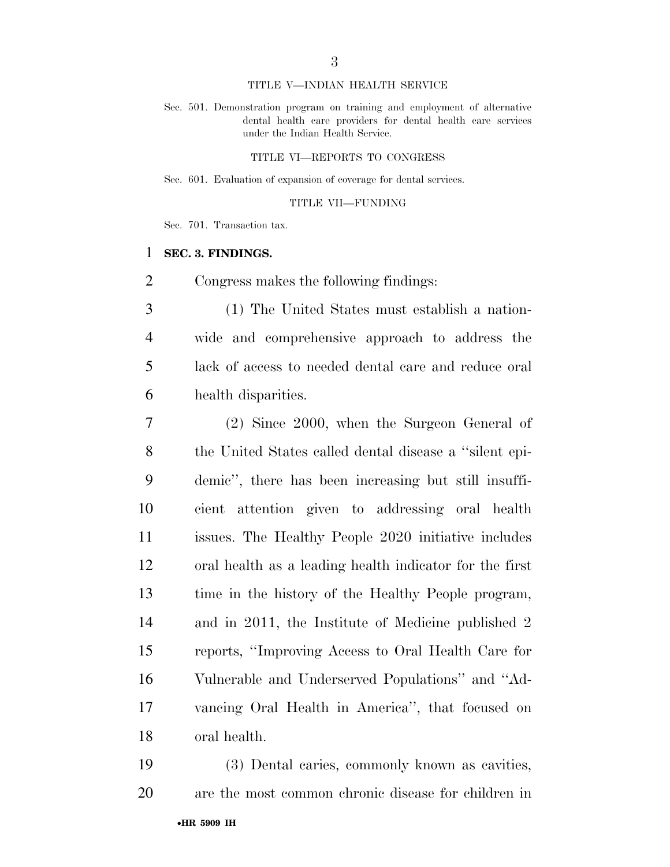### TITLE V—INDIAN HEALTH SERVICE

Sec. 501. Demonstration program on training and employment of alternative dental health care providers for dental health care services under the Indian Health Service.

### TITLE VI—REPORTS TO CONGRESS

Sec. 601. Evaluation of expansion of coverage for dental services.

### TITLE VII—FUNDING

Sec. 701. Transaction tax.

## **SEC. 3. FINDINGS.**

Congress makes the following findings:

 (1) The United States must establish a nation- wide and comprehensive approach to address the lack of access to needed dental care and reduce oral health disparities.

 (2) Since 2000, when the Surgeon General of the United States called dental disease a ''silent epi- demic'', there has been increasing but still insuffi- cient attention given to addressing oral health issues. The Healthy People 2020 initiative includes oral health as a leading health indicator for the first time in the history of the Healthy People program, and in 2011, the Institute of Medicine published 2 reports, ''Improving Access to Oral Health Care for Vulnerable and Underserved Populations'' and ''Ad- vancing Oral Health in America'', that focused on oral health.

 (3) Dental caries, commonly known as cavities, are the most common chronic disease for children in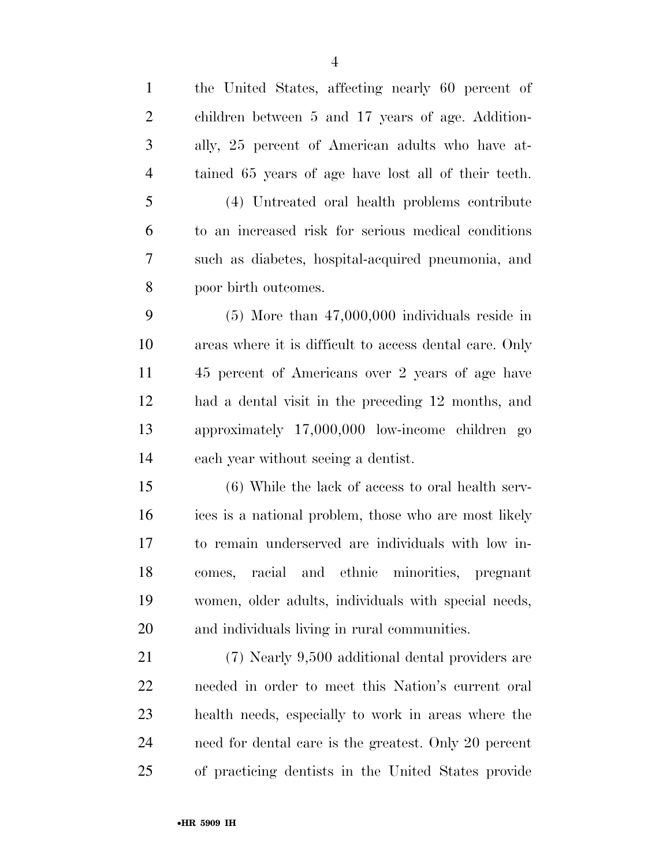| $\mathbf{1}$   | the United States, affecting nearly 60 percent of       |
|----------------|---------------------------------------------------------|
| $\overline{2}$ | children between 5 and 17 years of age. Addition-       |
| 3              | ally, 25 percent of American adults who have at-        |
| $\overline{4}$ | tained 65 years of age have lost all of their teeth.    |
| 5              | (4) Untreated oral health problems contribute           |
| 6              | to an increased risk for serious medical conditions     |
| 7              | such as diabetes, hospital-acquired pneumonia, and      |
| 8              | poor birth outcomes.                                    |
| 9              | $(5)$ More than $47,000,000$ individuals reside in      |
| 10             | areas where it is difficult to access dental care. Only |
| 11             | 45 percent of Americans over 2 years of age have        |
| 12             | had a dental visit in the preceding 12 months, and      |
| 13             | approximately 17,000,000 low-income children go         |
| 14             | each year without seeing a dentist.                     |
| 15             | (6) While the lack of access to oral health serv-       |
| 16             | ices is a national problem, those who are most likely   |
| 17             | to remain underserved are individuals with low in-      |
| 18             | and ethnic<br>racial<br>minorities, pregnant<br>comes,  |
| 19             | women, older adults, individuals with special needs,    |
| 20             | and individuals living in rural communities.            |
| 21             | (7) Nearly 9,500 additional dental providers are        |
| 22             | needed in order to meet this Nation's current oral      |
| 23             | health needs, especially to work in areas where the     |
| 24             | need for dental care is the greatest. Only 20 percent   |
| 25             | of practicing dentists in the United States provide     |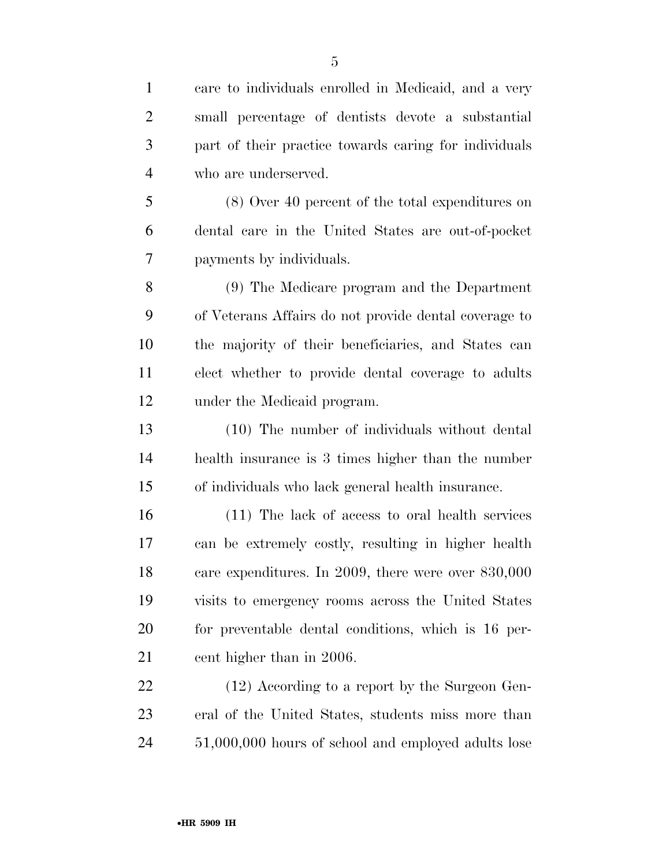| $\mathbf{1}$   | care to individuals enrolled in Medicaid, and a very  |
|----------------|-------------------------------------------------------|
| $\overline{2}$ | small percentage of dentists devote a substantial     |
| 3              | part of their practice towards caring for individuals |
| 4              | who are underserved.                                  |
| 5              | (8) Over 40 percent of the total expenditures on      |

 (8) Over 40 percent of the total expenditures on dental care in the United States are out-of-pocket payments by individuals.

 (9) The Medicare program and the Department of Veterans Affairs do not provide dental coverage to the majority of their beneficiaries, and States can elect whether to provide dental coverage to adults under the Medicaid program.

 (10) The number of individuals without dental health insurance is 3 times higher than the number of individuals who lack general health insurance.

 (11) The lack of access to oral health services can be extremely costly, resulting in higher health care expenditures. In 2009, there were over 830,000 visits to emergency rooms across the United States for preventable dental conditions, which is 16 per-21 cent higher than in 2006.

22 (12) According to a report by the Surgeon Gen- eral of the United States, students miss more than 51,000,000 hours of school and employed adults lose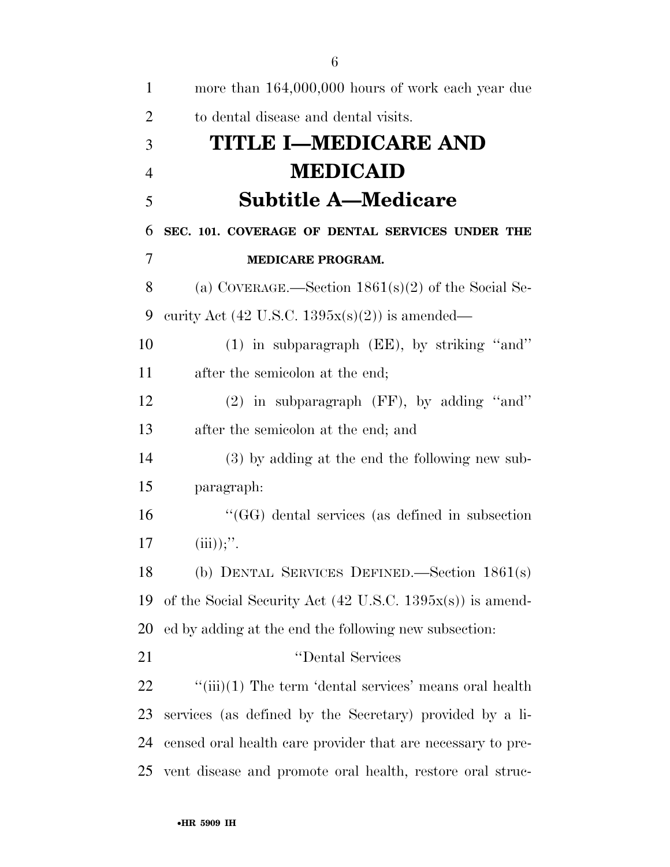| 1              | more than 164,000,000 hours of work each year due                    |
|----------------|----------------------------------------------------------------------|
| $\overline{2}$ | to dental disease and dental visits.                                 |
| 3              | <b>TITLE I-MEDICARE AND</b>                                          |
| $\overline{4}$ | <b>MEDICAID</b>                                                      |
| 5              | <b>Subtitle A—Medicare</b>                                           |
| 6              | SEC. 101. COVERAGE OF DENTAL SERVICES UNDER THE                      |
| 7              | <b>MEDICARE PROGRAM.</b>                                             |
| 8              | (a) COVERAGE.—Section $1861(s)(2)$ of the Social Se-                 |
| 9              | curity Act (42 U.S.C. $1395x(s)(2)$ ) is amended—                    |
| 10             | $(1)$ in subparagraph (EE), by striking "and"                        |
| 11             | after the semicolon at the end;                                      |
| 12             | $(2)$ in subparagraph (FF), by adding "and"                          |
| 13             | after the semicolon at the end; and                                  |
| 14             | (3) by adding at the end the following new sub-                      |
| 15             | paragraph:                                                           |
| 16             | "(GG) dental services (as defined in subsection                      |
| 17             | (iii));''.                                                           |
| 18             | (b) DENTAL SERVICES DEFINED.—Section $1861(s)$                       |
| 19             | of the Social Security Act $(42 \text{ U.S.C. } 1395x(s))$ is amend- |
| 20             | ed by adding at the end the following new subsection:                |
| 21             | "Dental Services                                                     |
| 22             | $\lq\lq$ (iii)(1) The term 'dental services' means oral health       |
| 23             | services (as defined by the Secretary) provided by a li-             |
| 24             | censed oral health care provider that are necessary to pre-          |
| 25             | vent disease and promote oral health, restore oral struc-            |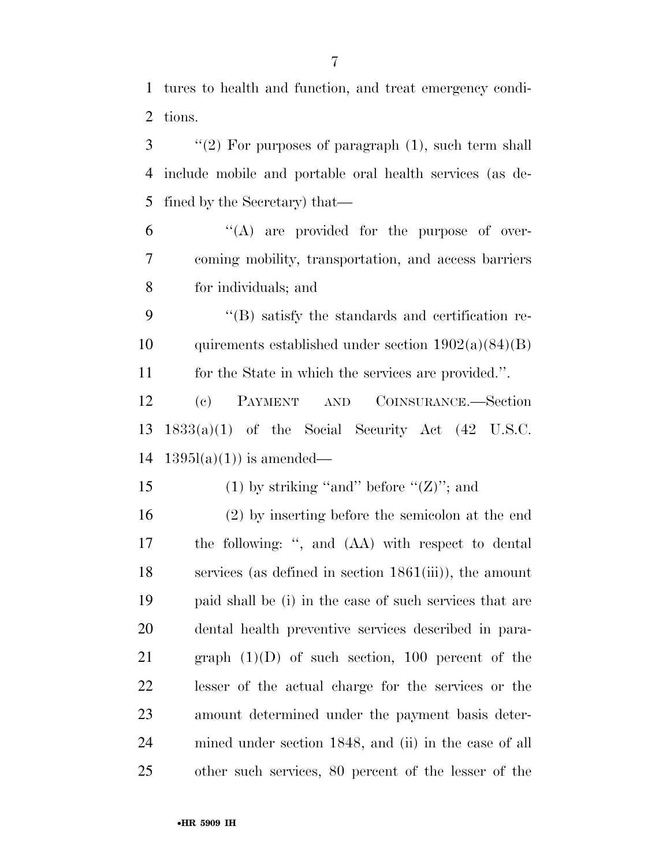tures to health and function, and treat emergency condi-tions.

 ''(2) For purposes of paragraph (1), such term shall include mobile and portable oral health services (as de-fined by the Secretary) that—

 "(A) are provided for the purpose of over- coming mobility, transportation, and access barriers for individuals; and

 ''(B) satisfy the standards and certification re-10 quirements established under section  $1902(a)(84)(B)$ for the State in which the services are provided.''.

 (c) PAYMENT AND COINSURANCE.—Section 1833(a)(1) of the Social Security Act (42 U.S.C. 14  $1395l(a)(1)$  is amended—

15 (1) by striking "and" before " $(Z)$ "; and

 (2) by inserting before the semicolon at the end the following: '', and (AA) with respect to dental services (as defined in section 1861(iii)), the amount paid shall be (i) in the case of such services that are dental health preventive services described in para-21 graph  $(1)(D)$  of such section, 100 percent of the lesser of the actual charge for the services or the amount determined under the payment basis deter- mined under section 1848, and (ii) in the case of all other such services, 80 percent of the lesser of the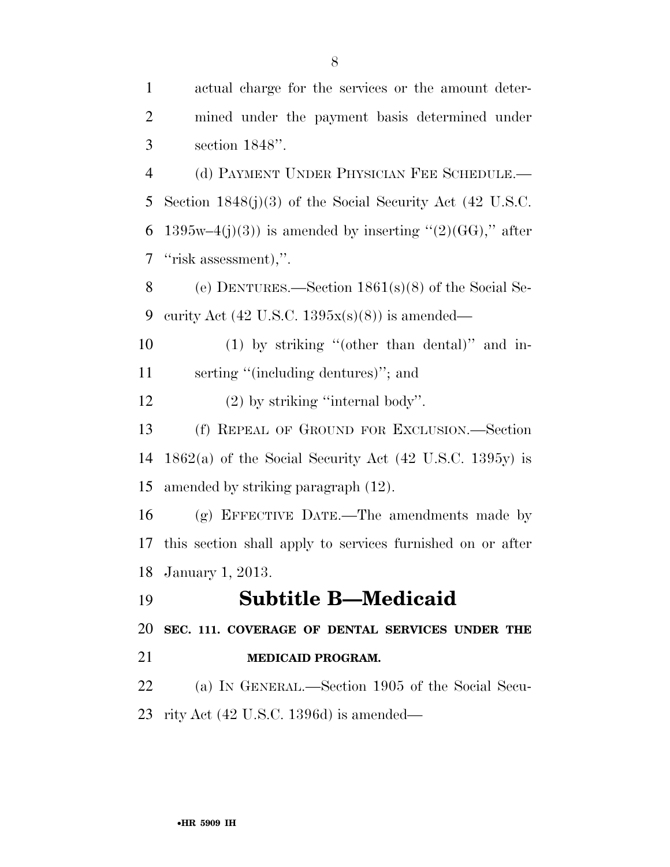| $\mathbf{1}$   | actual charge for the services or the amount deter-        |
|----------------|------------------------------------------------------------|
| $\overline{2}$ | mined under the payment basis determined under             |
| 3              | section $1848$ ".                                          |
| $\overline{4}$ | (d) PAYMENT UNDER PHYSICIAN FEE SCHEDULE.—                 |
| 5              | Section $1848(j)(3)$ of the Social Security Act (42 U.S.C. |
| 6              | $1395w-4(j)(3)$ is amended by inserting "(2)(GG)," after   |
| 7              | "risk assessment),".                                       |
| 8              | (e) DENTURES.—Section $1861(s)(8)$ of the Social Se-       |
| 9              | curity Act $(42 \text{ U.S.C. } 1395x(s)(8))$ is amended—  |
| 10             | $(1)$ by striking "(other than dental)" and in-            |
| 11             | serting "(including dentures)"; and                        |
| 12             | $(2)$ by striking "internal body".                         |
| 13             | (f) REPEAL OF GROUND FOR EXCLUSION.—Section                |
| 14             | $1862(a)$ of the Social Security Act (42 U.S.C. 1395y) is  |
| 15             | amended by striking paragraph (12).                        |
| 16             | (g) EFFECTIVE DATE.—The amendments made by                 |
| 17             | this section shall apply to services furnished on or after |
|                | 18 January 1, 2013.                                        |
| 19             | <b>Subtitle B—Medicaid</b>                                 |
| 20             | SEC. 111. COVERAGE OF DENTAL SERVICES UNDER THE            |
| 21             | <b>MEDICAID PROGRAM.</b>                                   |
| 22             | (a) IN GENERAL.—Section 1905 of the Social Secu-           |
| 23             | rity Act $(42 \text{ U.S.C. } 1396d)$ is amended—          |
|                |                                                            |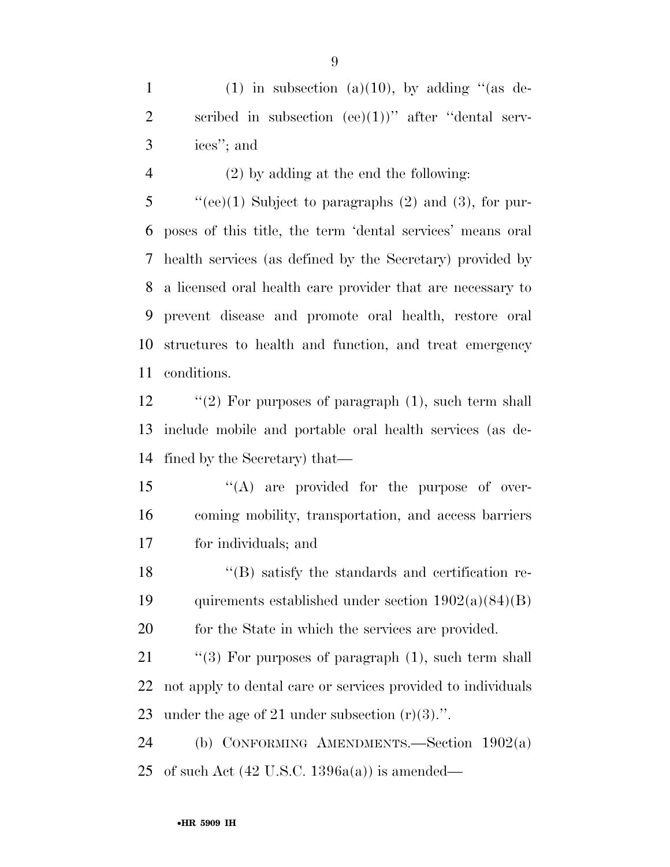1 (1) in subsection (a)(10), by adding "(as de-2 scribed in subsection  $(ee)(1)$ " after "dental serv-ices''; and

(2) by adding at the end the following:

 "'(ee)(1) Subject to paragraphs (2) and (3), for pur- poses of this title, the term 'dental services' means oral health services (as defined by the Secretary) provided by a licensed oral health care provider that are necessary to prevent disease and promote oral health, restore oral structures to health and function, and treat emergency conditions.

12 "(2) For purposes of paragraph (1), such term shall include mobile and portable oral health services (as de-fined by the Secretary) that—

15  $\langle A \rangle$  are provided for the purpose of over- coming mobility, transportation, and access barriers for individuals; and

 ''(B) satisfy the standards and certification re-19 quirements established under section  $1902(a)(84)(B)$ 20 for the State in which the services are provided.

21 "(3) For purposes of paragraph (1), such term shall not apply to dental care or services provided to individuals under the age of 21 under subsection (r)(3).''.

 (b) CONFORMING AMENDMENTS.—Section 1902(a) 25 of such Act  $(42 \text{ U.S.C. } 1396a(a))$  is amended—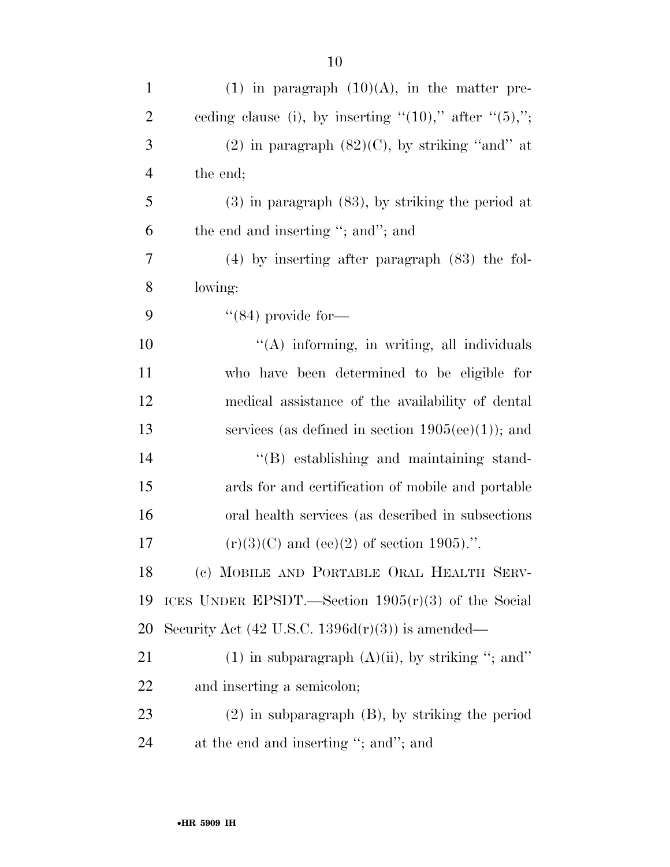| $\mathbf{1}$   | $(1)$ in paragraph $(10)(A)$ , in the matter pre-             |
|----------------|---------------------------------------------------------------|
| $\overline{2}$ | ceding clause (i), by inserting " $(10)$ ," after " $(5)$ ,"; |
| 3              | $(2)$ in paragraph $(82)(C)$ , by striking "and" at           |
| $\overline{4}$ | the end;                                                      |
| 5              | $(3)$ in paragraph $(83)$ , by striking the period at         |
| 6              | the end and inserting "; and"; and                            |
| 7              | $(4)$ by inserting after paragraph $(83)$ the fol-            |
| 8              | lowing:                                                       |
| 9              | $\cdot$ (84) provide for—                                     |
| 10             | "(A) informing, in writing, all individuals                   |
| 11             | who have been determined to be eligible for                   |
| 12             | medical assistance of the availability of dental              |
| 13             | services (as defined in section $1905(ee)(1)$ ); and          |
| 14             | $\lq\lq$ establishing and maintaining stand-                  |
| 15             | ards for and certification of mobile and portable             |
| 16             | oral health services (as described in subsections)            |
| 17             | $(r)(3)(C)$ and (ee)(2) of section 1905).".                   |
| 18             | (c) MOBILE AND PORTABLE ORAL HEALTH SERV-                     |
| 19             | ICES UNDER EPSDT.—Section $1905(r)(3)$ of the Social          |
| 20             | Security Act $(42 \text{ U.S.C. } 1396d(r)(3))$ is amended—   |
| 21             | $(1)$ in subparagraph $(A)(ii)$ , by striking "; and"         |
| 22             | and inserting a semicolon;                                    |
| 23             | $(2)$ in subparagraph $(B)$ , by striking the period          |
| 24             | at the end and inserting "; and"; and                         |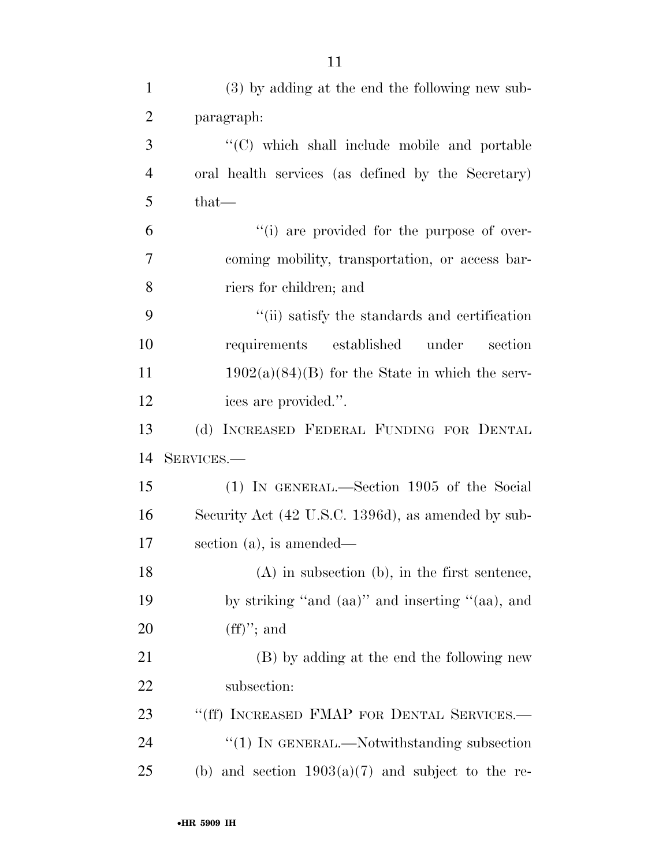| $\mathbf{1}$   | (3) by adding at the end the following new sub-        |
|----------------|--------------------------------------------------------|
| $\overline{2}$ | paragraph:                                             |
| 3              | "(C) which shall include mobile and portable           |
| $\overline{4}$ | oral health services (as defined by the Secretary)     |
| 5              | that-                                                  |
| 6              | "(i) are provided for the purpose of over-             |
| 7              | coming mobility, transportation, or access bar-        |
| 8              | riers for children; and                                |
| 9              | "(ii) satisfy the standards and certification          |
| 10             | requirements established<br>under<br>section           |
| 11             | $1902(a)(84)(B)$ for the State in which the serv-      |
| 12             | ices are provided.".                                   |
| 13             | (d) INCREASED FEDERAL FUNDING FOR DENTAL               |
| 14             | SERVICES.-                                             |
| 15             | (1) IN GENERAL.—Section 1905 of the Social             |
| 16             | Security Act (42 U.S.C. 1396d), as amended by sub-     |
| 17             | section $(a)$ , is amended—                            |
| 18             | $(A)$ in subsection $(b)$ , in the first sentence,     |
| 19             | by striking "and (aa)" and inserting "(aa), and        |
| 20             | $(ff)$ "; and                                          |
| 21             | (B) by adding at the end the following new             |
| 22             | subsection:                                            |
| 23             | "(ff) INCREASED FMAP FOR DENTAL SERVICES.-             |
| 24             | $``(1)$ IN GENERAL.—Notwithstanding subsection         |
| 25             | and section $1903(a)(7)$ and subject to the re-<br>(b) |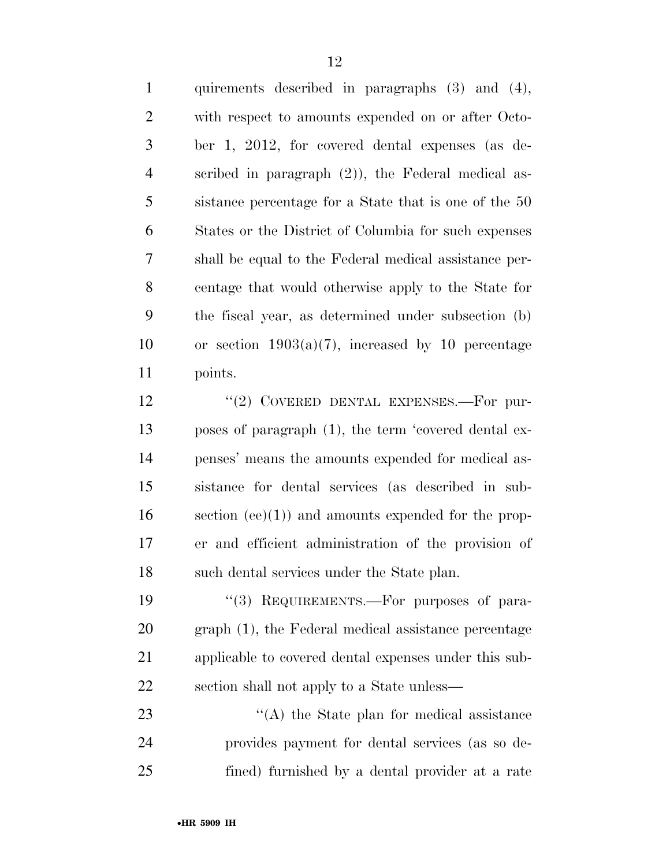quirements described in paragraphs (3) and (4), with respect to amounts expended on or after Octo- ber 1, 2012, for covered dental expenses (as de- scribed in paragraph (2)), the Federal medical as- sistance percentage for a State that is one of the 50 States or the District of Columbia for such expenses shall be equal to the Federal medical assistance per- centage that would otherwise apply to the State for the fiscal year, as determined under subsection (b) 10 or section  $1903(a)(7)$ , increased by 10 percentage points.

12 "(2) COVERED DENTAL EXPENSES.—For pur- poses of paragraph (1), the term 'covered dental ex- penses' means the amounts expended for medical as- sistance for dental services (as described in sub- section (ee)(1)) and amounts expended for the prop- er and efficient administration of the provision of such dental services under the State plan.

19 "(3) REQUIREMENTS.—For purposes of para- graph (1), the Federal medical assistance percentage applicable to covered dental expenses under this sub-section shall not apply to a State unless—

23 ''(A) the State plan for medical assistance provides payment for dental services (as so de-fined) furnished by a dental provider at a rate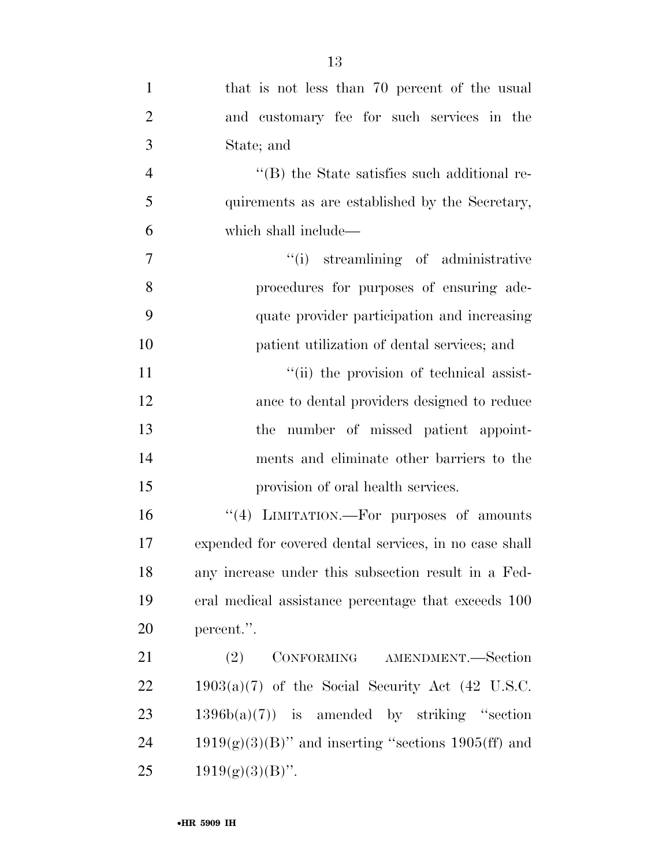| $\mathbf{1}$   | that is not less than 70 percent of the usual          |
|----------------|--------------------------------------------------------|
| $\overline{2}$ | and customary fee for such services in the             |
| 3              | State; and                                             |
| $\overline{4}$ | $\lq$ (B) the State satisfies such additional re-      |
| 5              | quirements as are established by the Secretary,        |
| 6              | which shall include—                                   |
| $\tau$         | "(i) streamlining of administrative                    |
| 8              | procedures for purposes of ensuring ade-               |
| 9              | quate provider participation and increasing            |
| 10             | patient utilization of dental services; and            |
| 11             | "(ii) the provision of technical assist-               |
| 12             | ance to dental providers designed to reduce            |
| 13             | the number of missed patient appoint-                  |
| 14             | ments and eliminate other barriers to the              |
| 15             | provision of oral health services.                     |
| 16             | "(4) LIMITATION.—For purposes of amounts               |
| 17             | expended for covered dental services, in no case shall |
| 18             | any increase under this subsection result in a Fed-    |
| 19             | eral medical assistance percentage that exceeds 100    |
| 20             | percent.".                                             |
| 21             | CONFORMING AMENDMENT.-Section<br>(2)                   |
| 22             | $1903(a)(7)$ of the Social Security Act (42 U.S.C.     |
| 23             | $1396b(a)(7)$ is amended by striking "section"         |
| 24             | $1919(g)(3)(B)$ " and inserting "sections 1905(ff) and |
| 25             | $1919(g)(3)(B)$ ".                                     |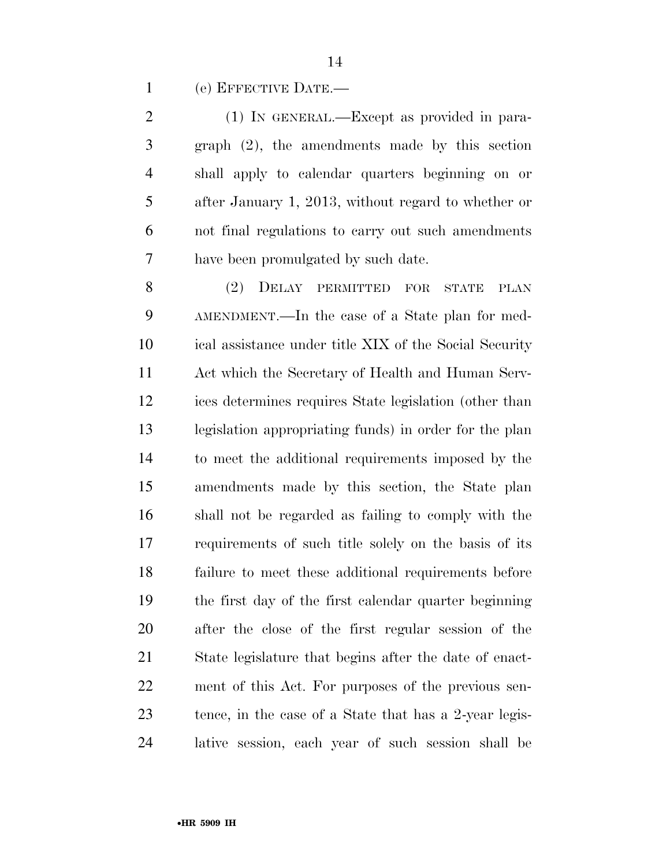(e) EFFECTIVE DATE.—

 (1) IN GENERAL.—Except as provided in para- graph (2), the amendments made by this section shall apply to calendar quarters beginning on or after January 1, 2013, without regard to whether or not final regulations to carry out such amendments have been promulgated by such date.

 (2) DELAY PERMITTED FOR STATE PLAN AMENDMENT.—In the case of a State plan for med- ical assistance under title XIX of the Social Security Act which the Secretary of Health and Human Serv- ices determines requires State legislation (other than legislation appropriating funds) in order for the plan to meet the additional requirements imposed by the amendments made by this section, the State plan shall not be regarded as failing to comply with the requirements of such title solely on the basis of its failure to meet these additional requirements before the first day of the first calendar quarter beginning after the close of the first regular session of the State legislature that begins after the date of enact- ment of this Act. For purposes of the previous sen- tence, in the case of a State that has a 2-year legis-lative session, each year of such session shall be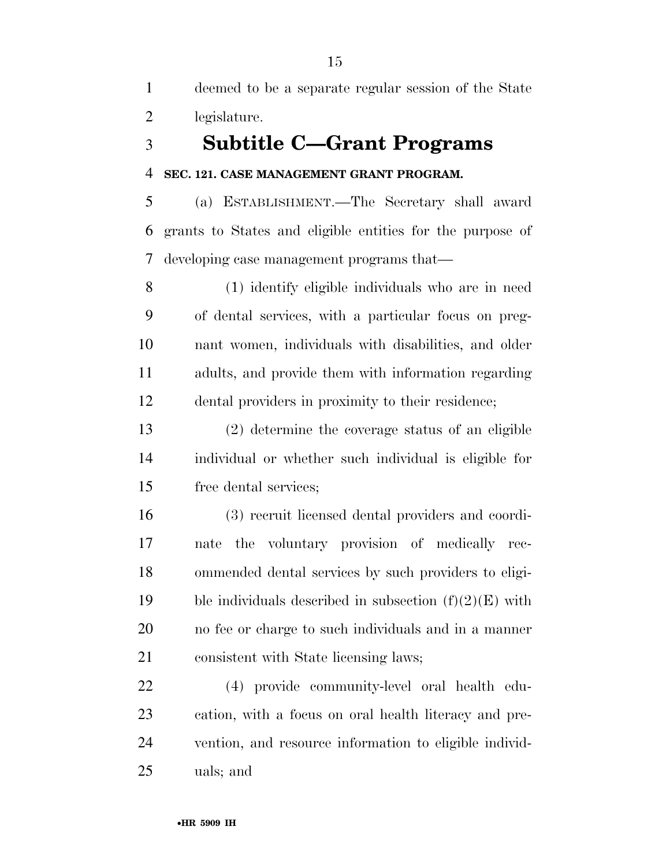deemed to be a separate regular session of the State legislature.

# **Subtitle C—Grant Programs**

## **SEC. 121. CASE MANAGEMENT GRANT PROGRAM.**

 (a) ESTABLISHMENT.—The Secretary shall award grants to States and eligible entities for the purpose of developing case management programs that—

 (1) identify eligible individuals who are in need of dental services, with a particular focus on preg- nant women, individuals with disabilities, and older adults, and provide them with information regarding dental providers in proximity to their residence;

 (2) determine the coverage status of an eligible individual or whether such individual is eligible for free dental services;

 (3) recruit licensed dental providers and coordi- nate the voluntary provision of medically rec- ommended dental services by such providers to eligi-19 ble individuals described in subsection  $(f)(2)(E)$  with no fee or charge to such individuals and in a manner consistent with State licensing laws;

 (4) provide community-level oral health edu- cation, with a focus on oral health literacy and pre- vention, and resource information to eligible individ-uals; and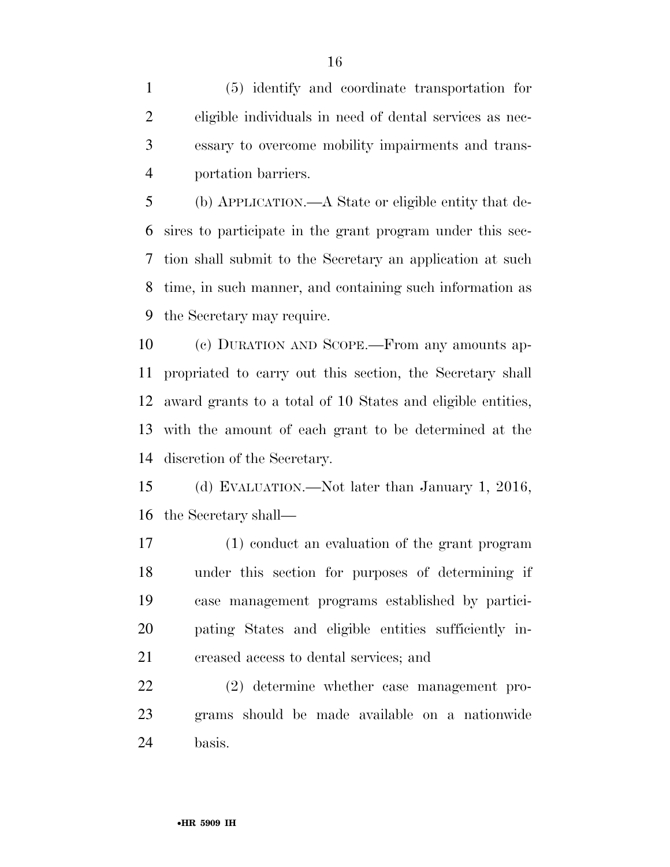(5) identify and coordinate transportation for eligible individuals in need of dental services as nec- essary to overcome mobility impairments and trans-portation barriers.

 (b) APPLICATION.—A State or eligible entity that de- sires to participate in the grant program under this sec- tion shall submit to the Secretary an application at such time, in such manner, and containing such information as the Secretary may require.

 (c) DURATION AND SCOPE.—From any amounts ap- propriated to carry out this section, the Secretary shall award grants to a total of 10 States and eligible entities, with the amount of each grant to be determined at the discretion of the Secretary.

 (d) EVALUATION.—Not later than January 1, 2016, the Secretary shall—

 (1) conduct an evaluation of the grant program under this section for purposes of determining if case management programs established by partici- pating States and eligible entities sufficiently in-creased access to dental services; and

 (2) determine whether case management pro- grams should be made available on a nationwide basis.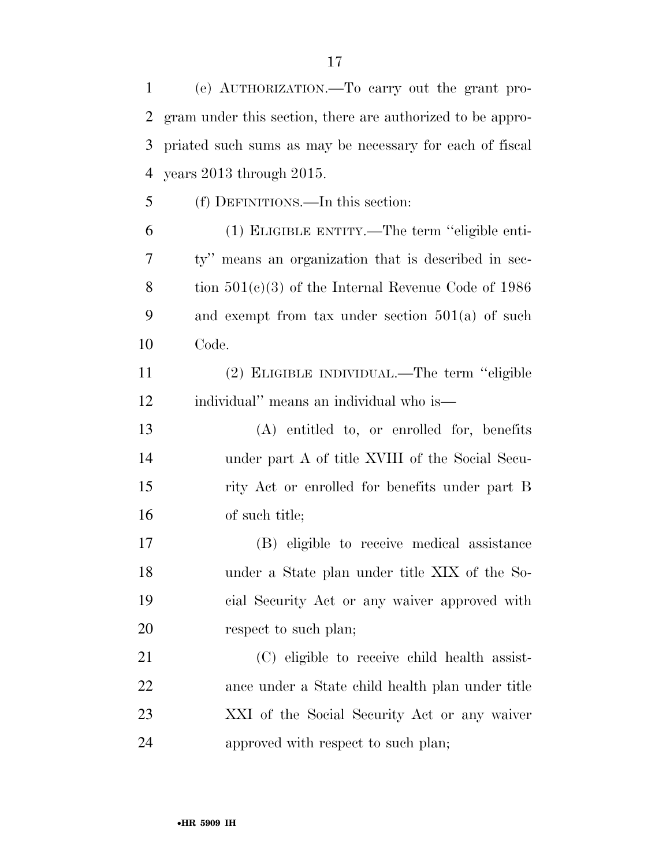(e) AUTHORIZATION.—To carry out the grant pro- gram under this section, there are authorized to be appro- priated such sums as may be necessary for each of fiscal years 2013 through 2015.

(f) DEFINITIONS.—In this section:

 (1) ELIGIBLE ENTITY.—The term ''eligible enti- ty'' means an organization that is described in sec- tion 501(c)(3) of the Internal Revenue Code of 1986 and exempt from tax under section 501(a) of such Code.

 (2) ELIGIBLE INDIVIDUAL.—The term ''eligible individual'' means an individual who is—

 (A) entitled to, or enrolled for, benefits under part A of title XVIII of the Social Secu- rity Act or enrolled for benefits under part B of such title;

 (B) eligible to receive medical assistance under a State plan under title XIX of the So- cial Security Act or any waiver approved with 20 respect to such plan;

 (C) eligible to receive child health assist- ance under a State child health plan under title XXI of the Social Security Act or any waiver approved with respect to such plan;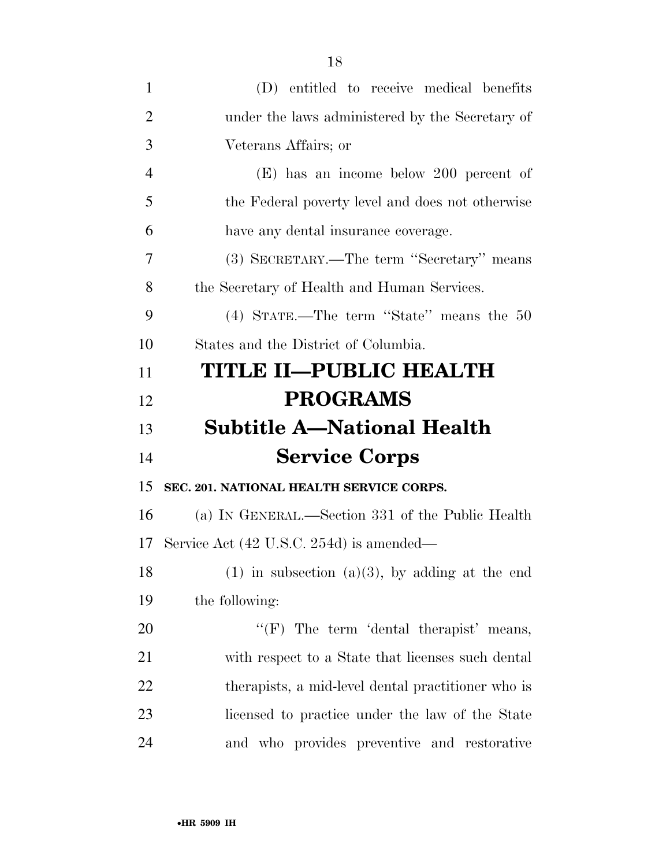| $\mathbf{1}$   | (D) entitled to receive medical benefits            |
|----------------|-----------------------------------------------------|
| $\overline{2}$ | under the laws administered by the Secretary of     |
| 3              | Veterans Affairs; or                                |
| $\overline{4}$ | $(E)$ has an income below 200 percent of            |
| 5              | the Federal poverty level and does not otherwise    |
| 6              | have any dental insurance coverage.                 |
| 7              | (3) SECRETARY.—The term "Secretary" means           |
| 8              | the Secretary of Health and Human Services.         |
| 9              | (4) STATE.—The term "State" means the 50            |
| 10             | States and the District of Columbia.                |
| 11             | <b>TITLE II—PUBLIC HEALTH</b>                       |
| 12             | <b>PROGRAMS</b>                                     |
|                |                                                     |
|                | <b>Subtitle A—National Health</b>                   |
| 13<br>14       | <b>Service Corps</b>                                |
| 15             | SEC. 201. NATIONAL HEALTH SERVICE CORPS.            |
| 16             | (a) IN GENERAL.—Section 331 of the Public Health    |
| 17             | Service Act (42 U.S.C. 254d) is amended—            |
| 18             | $(1)$ in subsection $(a)(3)$ , by adding at the end |
| 19             | the following:                                      |
| 20             | " $(F)$ The term 'dental therapist' means,          |
| 21             | with respect to a State that licenses such dental   |
| 22             | therapists, a mid-level dental practitioner who is  |
| 23             | licensed to practice under the law of the State     |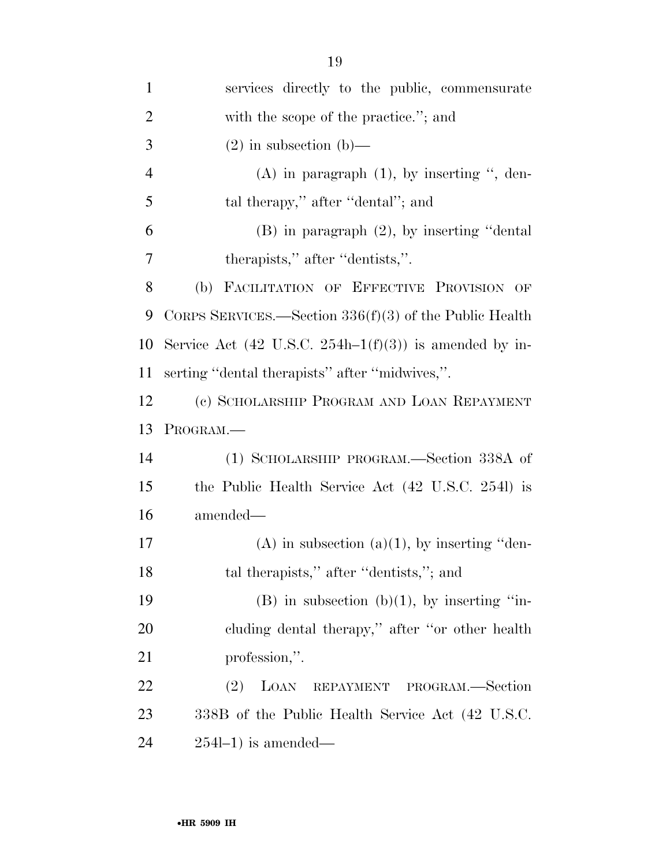| $\mathbf{1}$   | services directly to the public, commensurate              |
|----------------|------------------------------------------------------------|
| $\overline{2}$ | with the scope of the practice."; and                      |
| 3              | $(2)$ in subsection $(b)$ —                                |
| $\overline{4}$ | $(A)$ in paragraph $(1)$ , by inserting ", den-            |
| 5              | tal therapy," after "dental"; and                          |
| 6              | $(B)$ in paragraph $(2)$ , by inserting "dental            |
| 7              | therapists," after "dentists,".                            |
| 8              | (b) FACILITATION OF EFFECTIVE PROVISION OF                 |
| 9              | CORPS SERVICES.—Section $336(f)(3)$ of the Public Health   |
| 10             | Service Act (42 U.S.C. 254h–1 $(f)(3)$ ) is amended by in- |
| 11             | serting "dental therapists" after "midwives,".             |
| 12             | (c) SCHOLARSHIP PROGRAM AND LOAN REPAYMENT                 |
| 13             | PROGRAM.                                                   |
| 14             | (1) SCHOLARSHIP PROGRAM.—Section 338A of                   |
| 15             | the Public Health Service Act (42 U.S.C. 2541) is          |
| 16             | amended—                                                   |
| 17             | $(A)$ in subsection $(a)(1)$ , by inserting "den-          |
| 18             | tal therapists," after "dentists,"; and                    |
| 19             | $(B)$ in subsection $(b)(1)$ , by inserting "in-           |
| 20             | cluding dental therapy," after "or other health            |
| 21             | profession,".                                              |
| 22             | LOAN<br><b>PROGRAM.</b> —Section<br>(2)<br>REPAYMENT       |
| 23             | 338B of the Public Health Service Act (42 U.S.C.           |
| 24             | $254l-1$ ) is amended—                                     |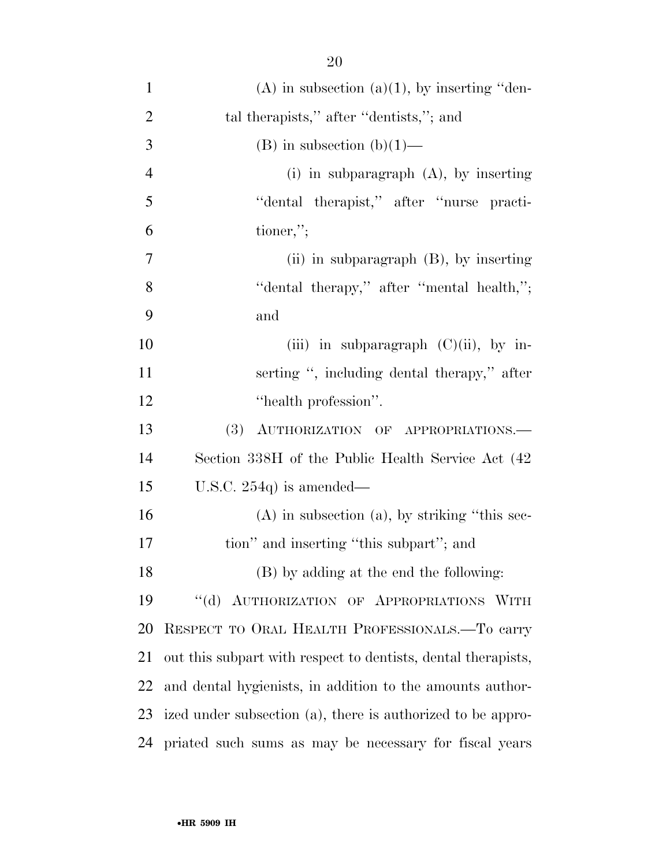| $\mathbf{1}$   | $(A)$ in subsection $(a)(1)$ , by inserting "den-             |
|----------------|---------------------------------------------------------------|
| $\overline{2}$ | tal therapists," after "dentists,"; and                       |
| 3              | (B) in subsection (b) $(1)$ —                                 |
| $\overline{4}$ | $(i)$ in subparagraph $(A)$ , by inserting                    |
| 5              | "dental therapist," after "nurse practi-                      |
| 6              | tioner,";                                                     |
| 7              | (ii) in subparagraph $(B)$ , by inserting                     |
| 8              | "dental therapy," after "mental health,";                     |
| 9              | and                                                           |
| 10             | (iii) in subparagraph $(C)(ii)$ , by in-                      |
| 11             | serting ", including dental therapy," after                   |
| 12             | "health profession".                                          |
| 13             | (3) AUTHORIZATION OF APPROPRIATIONS.                          |
| 14             | Section 338H of the Public Health Service Act (42)            |
| 15             | U.S.C. $254q$ is amended—                                     |
| 16             | $(A)$ in subsection $(a)$ , by striking "this sec-            |
| 17             | tion" and inserting "this subpart"; and                       |
| 18             | (B) by adding at the end the following:                       |
| 19             | "(d) AUTHORIZATION OF APPROPRIATIONS WITH                     |
| 20             | RESPECT TO ORAL HEALTH PROFESSIONALS.-To carry                |
| 21             | out this subpart with respect to dentists, dental therapists, |
| 22             | and dental hygienists, in addition to the amounts author-     |
| 23             | ized under subsection (a), there is authorized to be appro-   |
| 24             | priated such sums as may be necessary for fiscal years        |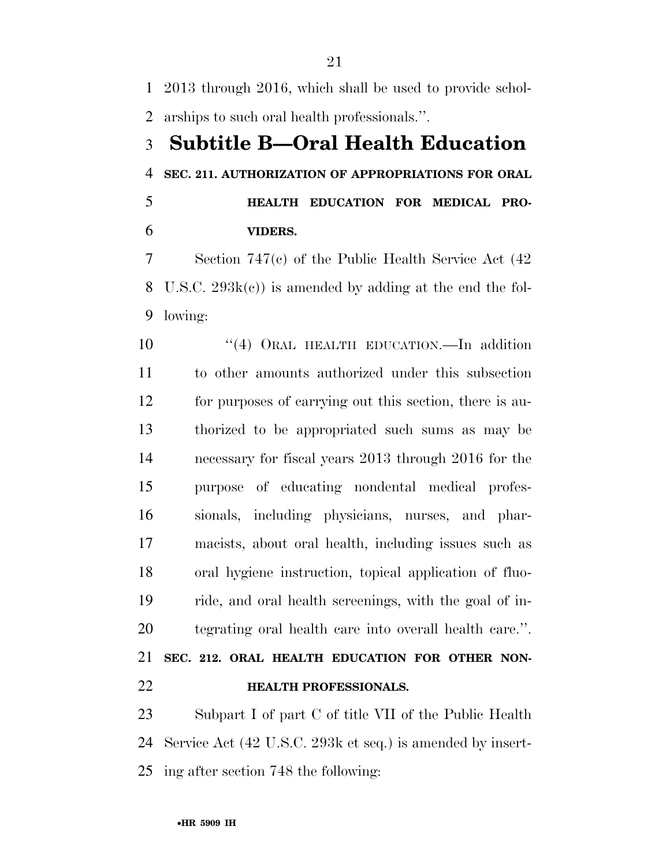2013 through 2016, which shall be used to provide schol-arships to such oral health professionals.''.

# **Subtitle B—Oral Health Education SEC. 211. AUTHORIZATION OF APPROPRIATIONS FOR ORAL**

 **HEALTH EDUCATION FOR MEDICAL PRO-VIDERS.** 

 Section 747(c) of the Public Health Service Act (42 U.S.C. 293k(c)) is amended by adding at the end the fol-lowing:

10 "(4) ORAL HEALTH EDUCATION.—In addition to other amounts authorized under this subsection for purposes of carrying out this section, there is au- thorized to be appropriated such sums as may be necessary for fiscal years 2013 through 2016 for the purpose of educating nondental medical profes- sionals, including physicians, nurses, and phar- macists, about oral health, including issues such as oral hygiene instruction, topical application of fluo- ride, and oral health screenings, with the goal of in- tegrating oral health care into overall health care.''. **SEC. 212. ORAL HEALTH EDUCATION FOR OTHER NON-**

**HEALTH PROFESSIONALS.** 

 Subpart I of part C of title VII of the Public Health Service Act (42 U.S.C. 293k et seq.) is amended by insert-ing after section 748 the following: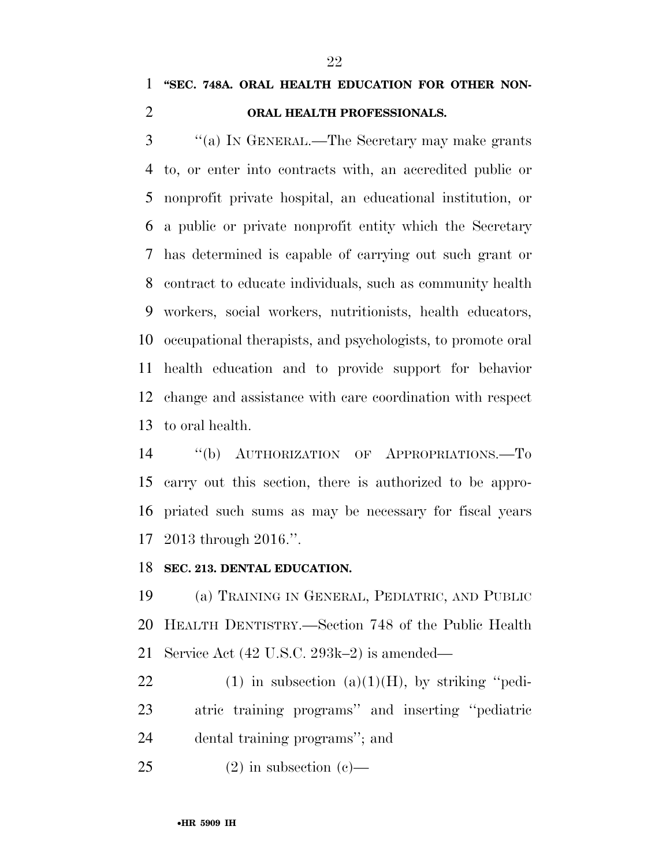# **''SEC. 748A. ORAL HEALTH EDUCATION FOR OTHER NON-**

# **ORAL HEALTH PROFESSIONALS.**

 ''(a) IN GENERAL.—The Secretary may make grants to, or enter into contracts with, an accredited public or nonprofit private hospital, an educational institution, or a public or private nonprofit entity which the Secretary has determined is capable of carrying out such grant or contract to educate individuals, such as community health workers, social workers, nutritionists, health educators, occupational therapists, and psychologists, to promote oral health education and to provide support for behavior change and assistance with care coordination with respect to oral health.

 ''(b) AUTHORIZATION OF APPROPRIATIONS.—To carry out this section, there is authorized to be appro- priated such sums as may be necessary for fiscal years 2013 through 2016.''.

## **SEC. 213. DENTAL EDUCATION.**

 (a) TRAINING IN GENERAL, PEDIATRIC, AND PUBLIC HEALTH DENTISTRY.—Section 748 of the Public Health Service Act (42 U.S.C. 293k–2) is amended—

22 (1) in subsection  $(a)(1)(H)$ , by striking "pedi- atric training programs'' and inserting ''pediatric dental training programs''; and

25 (2) in subsection (c)—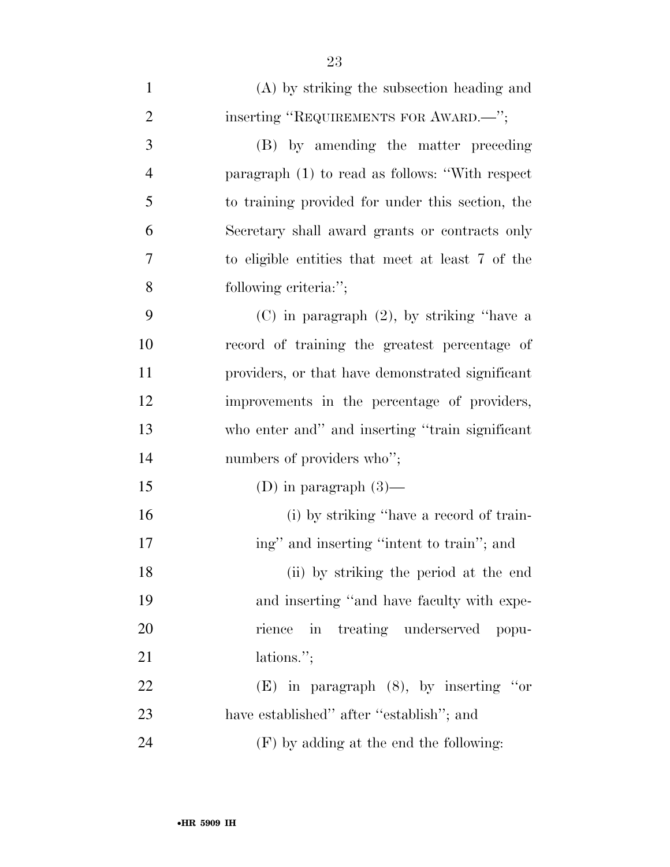| $\mathbf{1}$   | (A) by striking the subsection heading and       |
|----------------|--------------------------------------------------|
| $\overline{2}$ | inserting "REQUIREMENTS FOR AWARD.—";            |
| 3              | (B) by amending the matter preceding             |
| $\overline{4}$ | paragraph (1) to read as follows: "With respect  |
| 5              | to training provided for under this section, the |
| 6              | Secretary shall award grants or contracts only   |
| 7              | to eligible entities that meet at least 7 of the |
| 8              | following criteria:";                            |
| 9              | $(C)$ in paragraph $(2)$ , by striking "have a   |
| 10             | record of training the greatest percentage of    |
| 11             | providers, or that have demonstrated significant |
| 12             | improvements in the percentage of providers,     |
| 13             | who enter and" and inserting "train significant  |
| 14             | numbers of providers who";                       |
| 15             | (D) in paragraph $(3)$ —                         |
| 16             | (i) by striking "have a record of train-         |
| 17             | ing" and inserting "intent to train"; and        |
| 18             | (ii) by striking the period at the end           |
| 19             | and inserting "and have faculty with expe-       |
| 20             | rience in treating underserved popu-             |
| 21             | lations.";                                       |
| 22             | $(E)$ in paragraph $(8)$ , by inserting "or      |
| 23             | have established" after "establish"; and         |
| 24             | $(F)$ by adding at the end the following:        |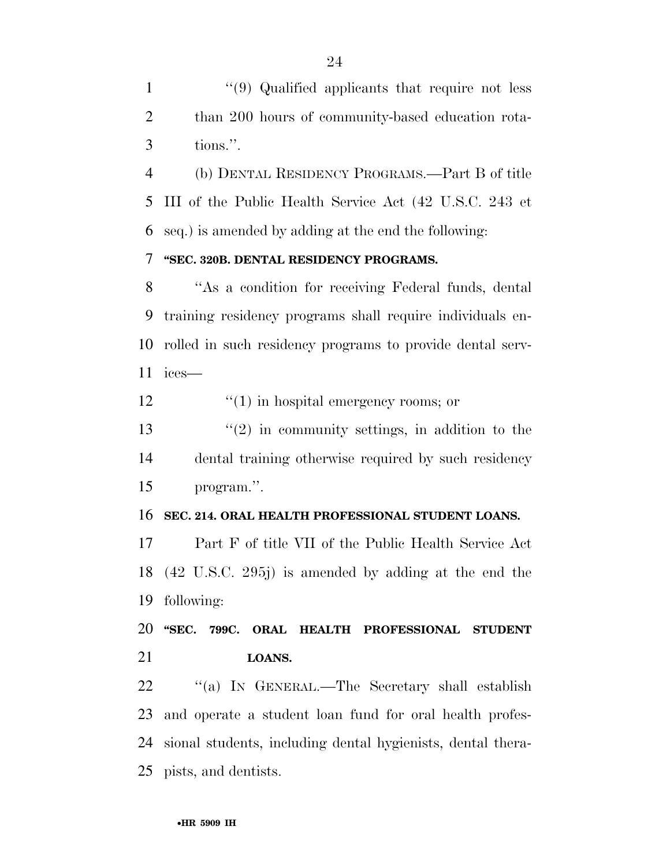1 ''(9) Qualified applicants that require not less than 200 hours of community-based education rota-tions.''.

 (b) DENTAL RESIDENCY PROGRAMS.—Part B of title III of the Public Health Service Act (42 U.S.C. 243 et seq.) is amended by adding at the end the following:

# **''SEC. 320B. DENTAL RESIDENCY PROGRAMS.**

 ''As a condition for receiving Federal funds, dental training residency programs shall require individuals en- rolled in such residency programs to provide dental serv-ices—

12  $\frac{1}{2}$   $\frac{1}{2}$   $\frac{1}{2}$  in hospital emergency rooms; or

 $\frac{13}{2}$  ''(2) in community settings, in addition to the dental training otherwise required by such residency program.''.

## **SEC. 214. ORAL HEALTH PROFESSIONAL STUDENT LOANS.**

 Part F of title VII of the Public Health Service Act (42 U.S.C. 295j) is amended by adding at the end the following:

 **''SEC. 799C. ORAL HEALTH PROFESSIONAL STUDENT LOANS.** 

 ''(a) IN GENERAL.—The Secretary shall establish and operate a student loan fund for oral health profes- sional students, including dental hygienists, dental thera-pists, and dentists.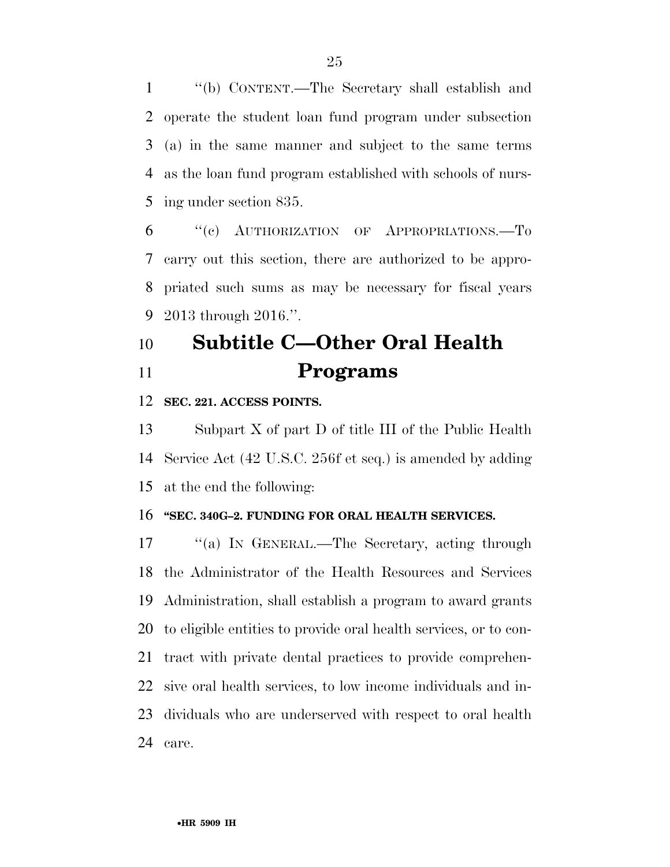''(b) CONTENT.—The Secretary shall establish and operate the student loan fund program under subsection (a) in the same manner and subject to the same terms as the loan fund program established with schools of nurs-ing under section 835.

 ''(c) AUTHORIZATION OF APPROPRIATIONS.—To carry out this section, there are authorized to be appro- priated such sums as may be necessary for fiscal years 2013 through 2016.''.

# **Subtitle C—Other Oral Health Programs**

## **SEC. 221. ACCESS POINTS.**

 Subpart X of part D of title III of the Public Health Service Act (42 U.S.C. 256f et seq.) is amended by adding at the end the following:

## **''SEC. 340G–2. FUNDING FOR ORAL HEALTH SERVICES.**

 ''(a) IN GENERAL.—The Secretary, acting through the Administrator of the Health Resources and Services Administration, shall establish a program to award grants to eligible entities to provide oral health services, or to con- tract with private dental practices to provide comprehen- sive oral health services, to low income individuals and in- dividuals who are underserved with respect to oral health care.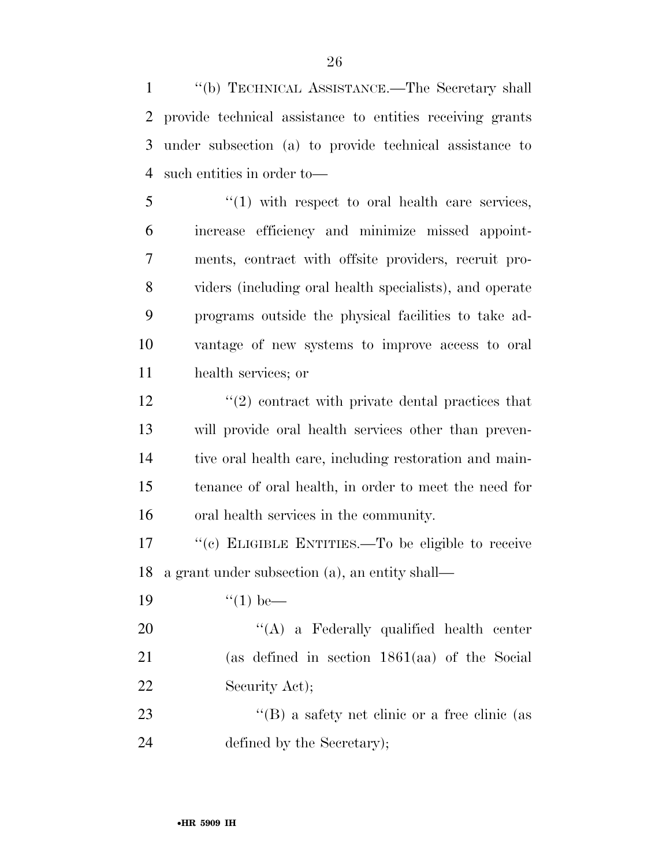''(b) TECHNICAL ASSISTANCE.—The Secretary shall provide technical assistance to entities receiving grants under subsection (a) to provide technical assistance to such entities in order to—

 ''(1) with respect to oral health care services, increase efficiency and minimize missed appoint- ments, contract with offsite providers, recruit pro- viders (including oral health specialists), and operate programs outside the physical facilities to take ad- vantage of new systems to improve access to oral health services; or

 $\frac{12}{2}$  ''(2) contract with private dental practices that will provide oral health services other than preven- tive oral health care, including restoration and main- tenance of oral health, in order to meet the need for oral health services in the community.

17  $\langle (c)$  ELIGIBLE ENTITIES.—To be eligible to receive a grant under subsection (a), an entity shall—

19  $\frac{1}{2}$   $\frac{1}{2}$   $\frac{1}{2}$  be—

20 "'(A) a Federally qualified health center (as defined in section 1861(aa) of the Social 22 Security Act);

23 ''(B) a safety net clinic or a free clinic (as defined by the Secretary);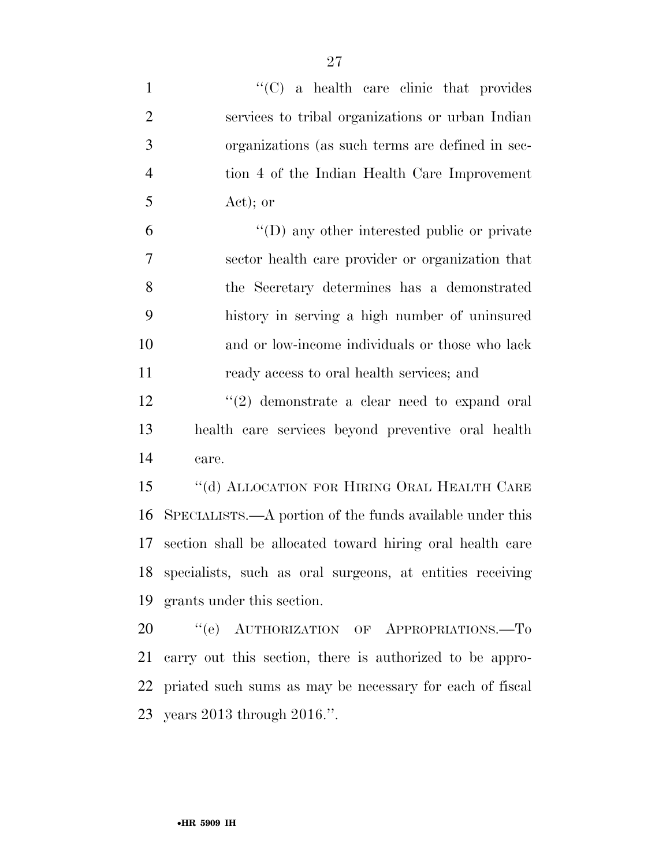| $\mathbf{1}$   | $\cdot$ (C) a health care clinic that provides               |
|----------------|--------------------------------------------------------------|
| $\overline{2}$ | services to tribal organizations or urban Indian             |
| 3              | organizations (as such terms are defined in sec-             |
| $\overline{4}$ | tion 4 of the Indian Health Care Improvement                 |
| 5              | $Act)$ ; or                                                  |
| 6              | $\lq\lq$ (D) any other interested public or private          |
| $\tau$         | sector health care provider or organization that             |
| 8              | the Secretary determines has a demonstrated                  |
| 9              | history in serving a high number of uninsured                |
| 10             | and or low-income individuals or those who lack              |
| 11             | ready access to oral health services; and                    |
| 12             | $\lq(2)$ demonstrate a clear need to expand oral             |
| 13             | health care services beyond preventive oral health           |
| 14             | care.                                                        |
| 15             | $\lq\lq$ (d) ALLOCATION FOR HIRING ORAL HEALTH CARE          |
| 16             | SPECIALISTS.—A portion of the funds available under this     |
| 17             | section shall be allocated toward hiring oral health care    |
|                | 18 specialists, such as oral surgeons, at entities receiving |
| 19             | grants under this section.                                   |
| 20             | "(e) AUTHORIZATION OF APPROPRIATIONS.-To                     |
| 21             | carry out this section, there is authorized to be appro-     |
| 22             | priated such sums as may be necessary for each of fiscal     |
|                | 23 years 2013 through 2016.".                                |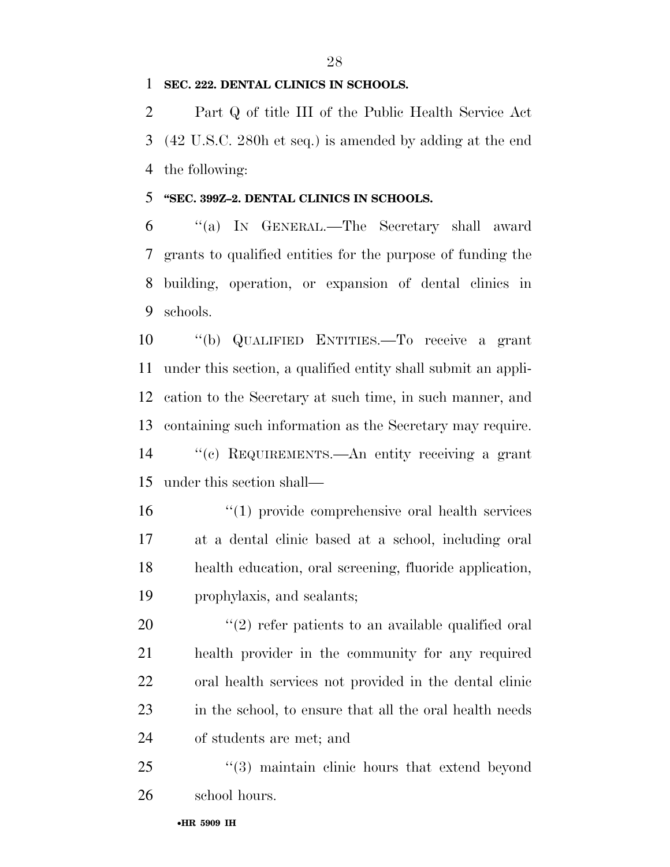**SEC. 222. DENTAL CLINICS IN SCHOOLS.** 

 Part Q of title III of the Public Health Service Act (42 U.S.C. 280h et seq.) is amended by adding at the end the following:

# **''SEC. 399Z–2. DENTAL CLINICS IN SCHOOLS.**

 ''(a) IN GENERAL.—The Secretary shall award grants to qualified entities for the purpose of funding the building, operation, or expansion of dental clinics in schools.

 ''(b) QUALIFIED ENTITIES.—To receive a grant under this section, a qualified entity shall submit an appli- cation to the Secretary at such time, in such manner, and containing such information as the Secretary may require. ''(c) REQUIREMENTS.—An entity receiving a grant under this section shall—

 ''(1) provide comprehensive oral health services at a dental clinic based at a school, including oral health education, oral screening, fluoride application, prophylaxis, and sealants;

 $(2)$  refer patients to an available qualified oral health provider in the community for any required oral health services not provided in the dental clinic 23 in the school, to ensure that all the oral health needs of students are met; and

25 "(3) maintain clinic hours that extend beyond school hours.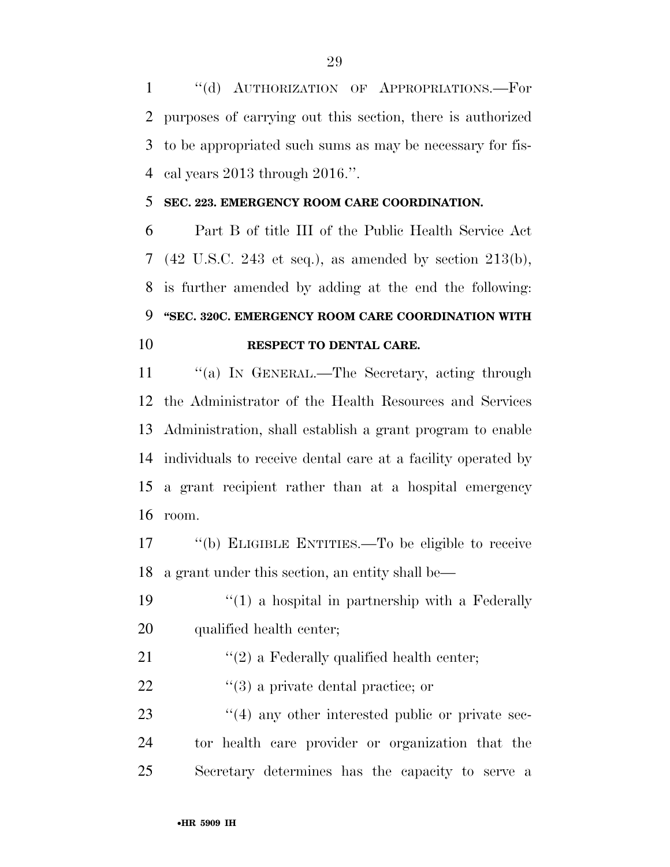''(d) AUTHORIZATION OF APPROPRIATIONS.—For purposes of carrying out this section, there is authorized to be appropriated such sums as may be necessary for fis-cal years 2013 through 2016.''.

# **SEC. 223. EMERGENCY ROOM CARE COORDINATION.**

 Part B of title III of the Public Health Service Act (42 U.S.C. 243 et seq.), as amended by section 213(b), is further amended by adding at the end the following: **''SEC. 320C. EMERGENCY ROOM CARE COORDINATION WITH RESPECT TO DENTAL CARE.** 

11 "(a) IN GENERAL.—The Secretary, acting through the Administrator of the Health Resources and Services Administration, shall establish a grant program to enable individuals to receive dental care at a facility operated by a grant recipient rather than at a hospital emergency room.

 ''(b) ELIGIBLE ENTITIES.—To be eligible to receive a grant under this section, an entity shall be—

19  $\frac{1}{2}$  (1) a hospital in partnership with a Federally qualified health center;

- 21  $\langle \langle 2 \rangle$  a Federally qualified health center;
- 22  $\frac{1}{2}$   $\frac{1}{3}$  a private dental practice; or

23 ''(4) any other interested public or private sec- tor health care provider or organization that the Secretary determines has the capacity to serve a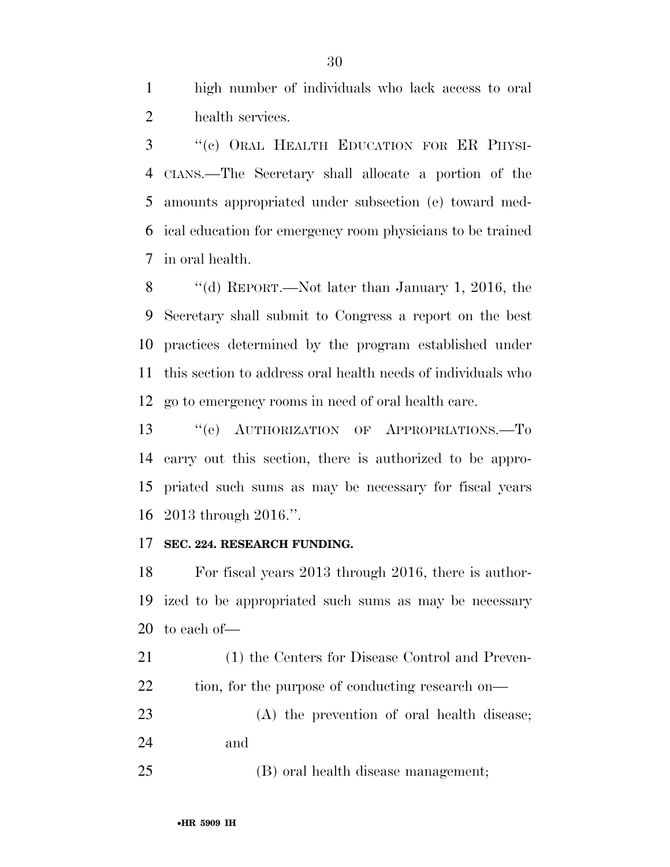high number of individuals who lack access to oral health services.

 ''(c) ORAL HEALTH EDUCATION FOR ER PHYSI- CIANS.—The Secretary shall allocate a portion of the amounts appropriated under subsection (e) toward med- ical education for emergency room physicians to be trained in oral health.

 ''(d) REPORT.—Not later than January 1, 2016, the Secretary shall submit to Congress a report on the best practices determined by the program established under this section to address oral health needs of individuals who go to emergency rooms in need of oral health care.

13 "(e) AUTHORIZATION OF APPROPRIATIONS.-To carry out this section, there is authorized to be appro- priated such sums as may be necessary for fiscal years 2013 through 2016.''.

## **SEC. 224. RESEARCH FUNDING.**

 For fiscal years 2013 through 2016, there is author- ized to be appropriated such sums as may be necessary to each of—

 (1) the Centers for Disease Control and Preven-22 tion, for the purpose of conducting research on—

 (A) the prevention of oral health disease; and

(B) oral health disease management;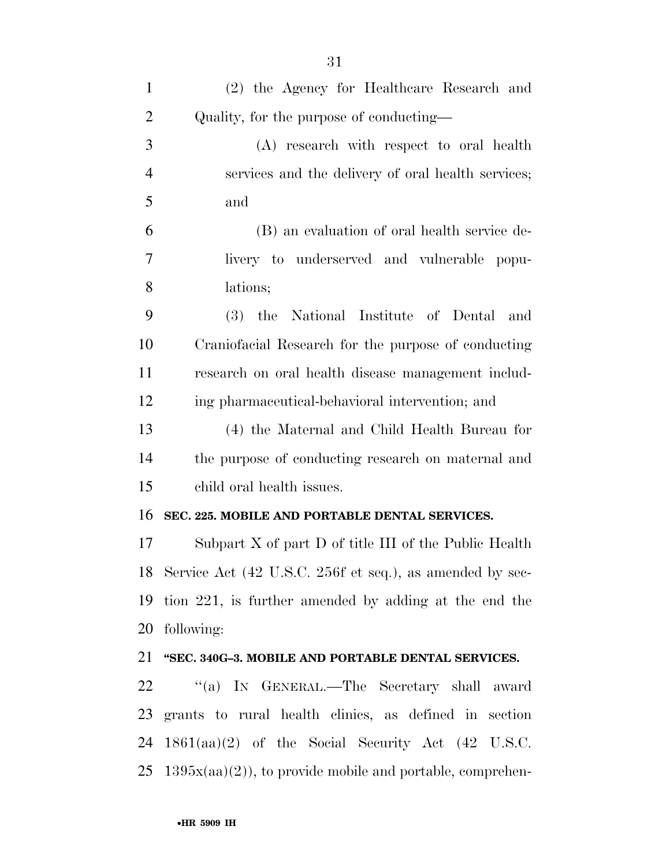| $\mathbf{1}$   | (2) the Agency for Healthcare Research and                              |
|----------------|-------------------------------------------------------------------------|
| $\overline{2}$ | Quality, for the purpose of conducting—                                 |
| 3              | (A) research with respect to oral health                                |
| $\overline{4}$ | services and the delivery of oral health services;                      |
| 5              | and                                                                     |
| 6              | (B) an evaluation of oral health service de-                            |
| 7              | livery to underserved and vulnerable popu-                              |
| 8              | lations;                                                                |
| 9              | (3) the National Institute of Dental and                                |
| 10             | Craniofacial Research for the purpose of conducting                     |
| 11             | research on oral health disease management includ-                      |
| 12             | ing pharmaceutical-behavioral intervention; and                         |
| 13             | (4) the Maternal and Child Health Bureau for                            |
| 14             | the purpose of conducting research on maternal and                      |
| 15             | child oral health issues.                                               |
| 16             | SEC. 225. MOBILE AND PORTABLE DENTAL SERVICES.                          |
| 17             | Subpart $X$ of part $D$ of title III of the Public Health               |
|                | 18 Service Act (42 U.S.C. 256f et seq.), as amended by sec-             |
| 19             | tion 221, is further amended by adding at the end the                   |
| 20             | following:                                                              |
|                | 21 "SEC. 340G-3. MOBILE AND PORTABLE DENTAL SERVICES.                   |
| 22             | "(a) IN GENERAL.—The Secretary shall award                              |
| 23             | grants to rural health clinics, as defined in section                   |
| 24             | $1861(aa)(2)$ of the Social Security Act (42 U.S.C.                     |
|                | $25 \text{ } 1395x(aa)(2)$ , to provide mobile and portable, comprehen- |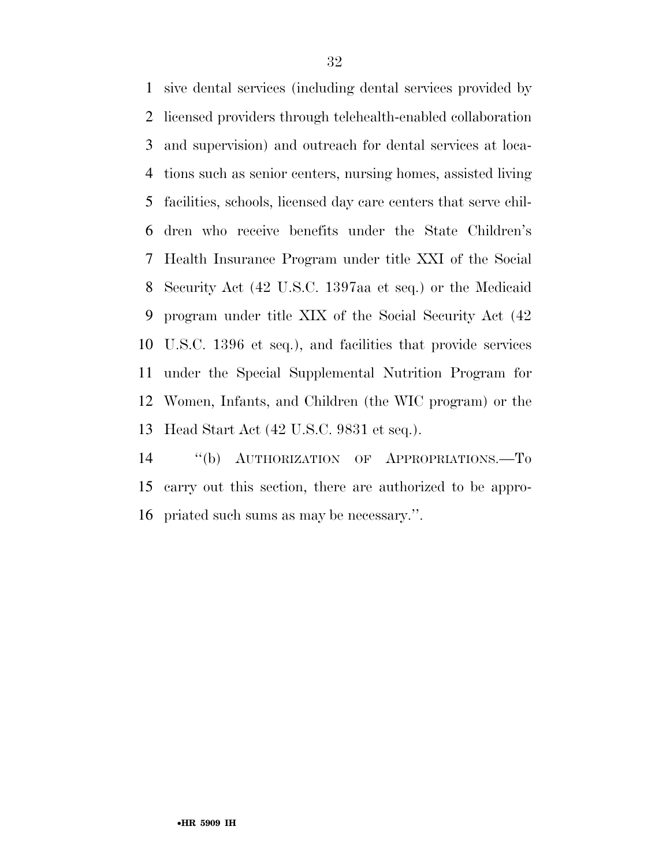sive dental services (including dental services provided by licensed providers through telehealth-enabled collaboration and supervision) and outreach for dental services at loca- tions such as senior centers, nursing homes, assisted living facilities, schools, licensed day care centers that serve chil- dren who receive benefits under the State Children's Health Insurance Program under title XXI of the Social Security Act (42 U.S.C. 1397aa et seq.) or the Medicaid program under title XIX of the Social Security Act (42 U.S.C. 1396 et seq.), and facilities that provide services under the Special Supplemental Nutrition Program for Women, Infants, and Children (the WIC program) or the Head Start Act (42 U.S.C. 9831 et seq.).

 ''(b) AUTHORIZATION OF APPROPRIATIONS.—To carry out this section, there are authorized to be appro-priated such sums as may be necessary.''.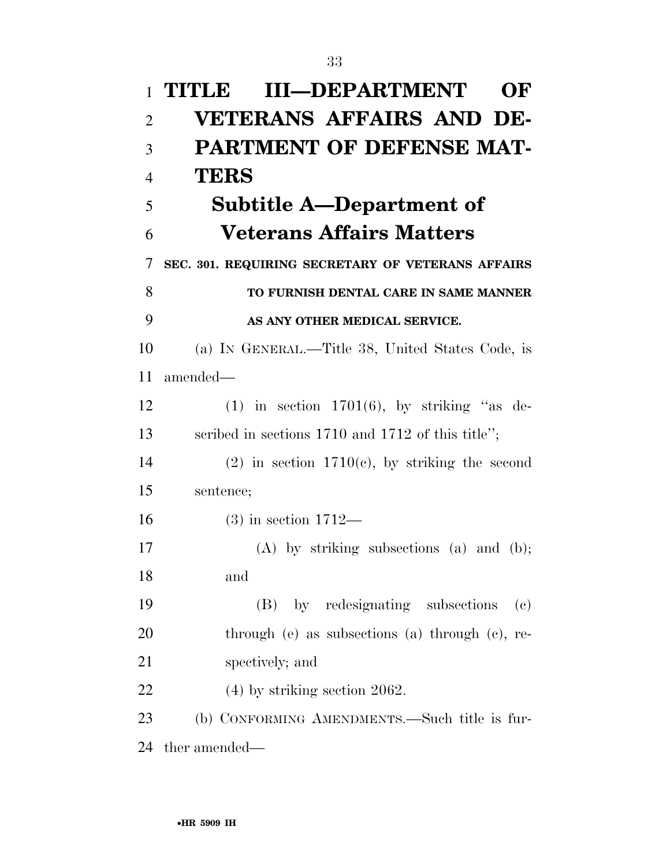| $\mathbf{1}$   | <b>III-DEPARTMENT</b><br>TITLE<br>OF                           |
|----------------|----------------------------------------------------------------|
| $\overline{2}$ | <b>VETERANS AFFAIRS AND DE-</b>                                |
| 3              | <b>PARTMENT OF DEFENSE MAT-</b>                                |
| $\overline{4}$ | <b>TERS</b>                                                    |
| 5              | Subtitle A—Department of                                       |
| 6              | <b>Veterans Affairs Matters</b>                                |
| 7              | SEC. 301. REQUIRING SECRETARY OF VETERANS AFFAIRS              |
| 8              | TO FURNISH DENTAL CARE IN SAME MANNER                          |
| 9              | AS ANY OTHER MEDICAL SERVICE.                                  |
| 10             | (a) IN GENERAL.—Title 38, United States Code, is               |
| 11             | amended—                                                       |
| 12             | $(1)$ in section 1701 $(6)$ , by striking "as de-              |
| 13             | scribed in sections 1710 and 1712 of this title";              |
| 14             | $(2)$ in section 1710(c), by striking the second               |
| 15             | sentence;                                                      |
| 16             | $(3)$ in section 1712—                                         |
| 17             | $(A)$ by striking subsections $(a)$ and $(b)$ ;                |
| 18             | and                                                            |
| 19             | (B) by redesignating subsections<br>$\left( \mathrm{e}\right)$ |
| 20             | through $(e)$ as subsections $(a)$ through $(e)$ , re-         |
| 21             | spectively; and                                                |
| 22             | $(4)$ by striking section 2062.                                |
| 23             | (b) CONFORMING AMENDMENTS.—Such title is fur-                  |
| 24             | ther amended—                                                  |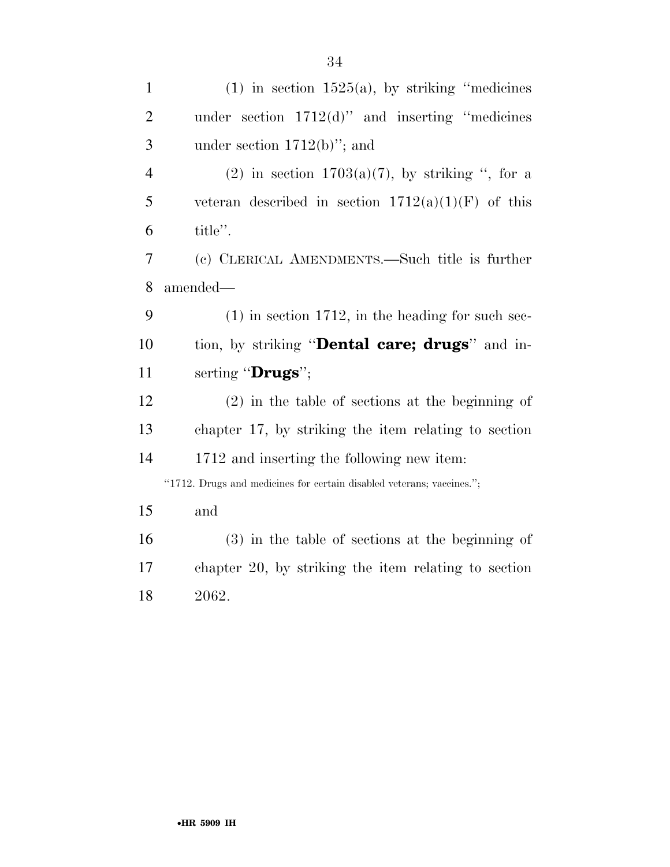| $\mathbf{1}$   | $(1)$ in section 1525(a), by striking "medicines"                     |
|----------------|-----------------------------------------------------------------------|
| $\overline{2}$ | under section $1712(d)$ " and inserting "medicines"                   |
| 3              | under section $1712(b)$ "; and                                        |
| 4              | (2) in section $1703(a)(7)$ , by striking ", for a                    |
| 5              | veteran described in section $1712(a)(1)(F)$ of this                  |
| 6              | title".                                                               |
| 7              | (c) CLERICAL AMENDMENTS.—Such title is further                        |
| 8              | amended-                                                              |
| 9              | $(1)$ in section 1712, in the heading for such sec-                   |
| 10             | tion, by striking " <b>Dental care; drugs</b> " and in-               |
| 11             | serting "Drugs";                                                      |
| 12             | $(2)$ in the table of sections at the beginning of                    |
| 13             | chapter 17, by striking the item relating to section                  |
| 14             | 1712 and inserting the following new item:                            |
|                | "1712. Drugs and medicines for certain disabled veterans; vaccines."; |
| 15             | and                                                                   |
| 16             | $(3)$ in the table of sections at the beginning of                    |
| 17             | chapter 20, by striking the item relating to section                  |
| 18             | 2062.                                                                 |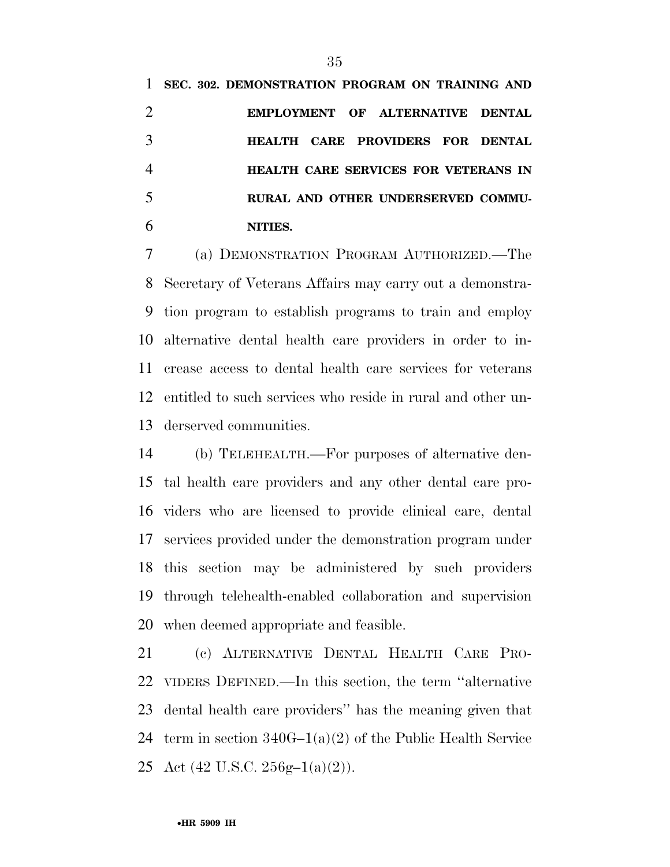**SEC. 302. DEMONSTRATION PROGRAM ON TRAINING AND EMPLOYMENT OF ALTERNATIVE DENTAL HEALTH CARE PROVIDERS FOR DENTAL HEALTH CARE SERVICES FOR VETERANS IN RURAL AND OTHER UNDERSERVED COMMU-NITIES.** 

 (a) DEMONSTRATION PROGRAM AUTHORIZED.—The Secretary of Veterans Affairs may carry out a demonstra- tion program to establish programs to train and employ alternative dental health care providers in order to in- crease access to dental health care services for veterans entitled to such services who reside in rural and other un-derserved communities.

 (b) TELEHEALTH.—For purposes of alternative den- tal health care providers and any other dental care pro- viders who are licensed to provide clinical care, dental services provided under the demonstration program under this section may be administered by such providers through telehealth-enabled collaboration and supervision when deemed appropriate and feasible.

 (c) ALTERNATIVE DENTAL HEALTH CARE PRO- VIDERS DEFINED.—In this section, the term ''alternative dental health care providers'' has the meaning given that term in section 340G–1(a)(2) of the Public Health Service 25 Act  $(42 \text{ U.S.C. } 256 \text{g} - 1(a)(2))$ .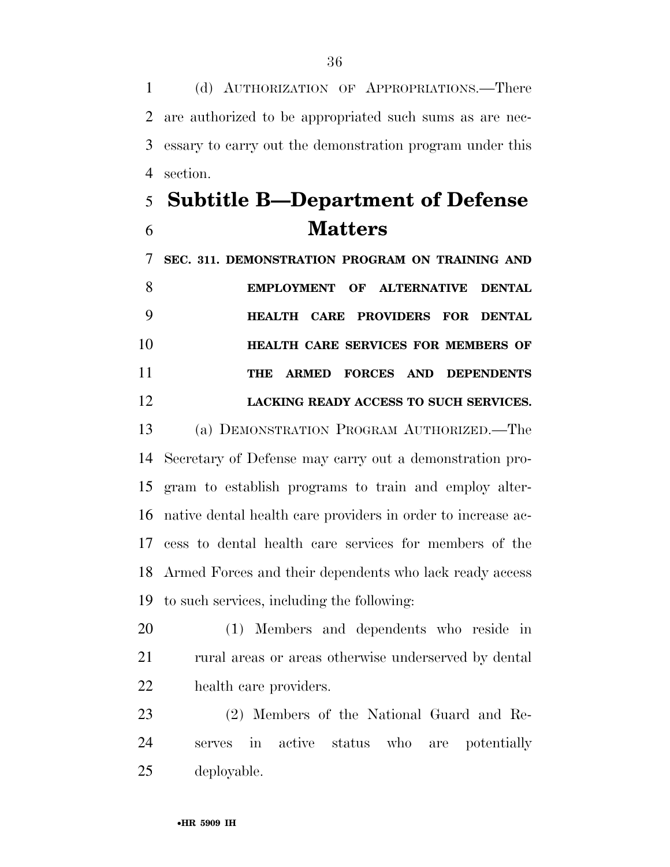(d) AUTHORIZATION OF APPROPRIATIONS.—There are authorized to be appropriated such sums as are nec- essary to carry out the demonstration program under this section.

# **Subtitle B—Department of Defense Matters**

 **SEC. 311. DEMONSTRATION PROGRAM ON TRAINING AND EMPLOYMENT OF ALTERNATIVE DENTAL HEALTH CARE PROVIDERS FOR DENTAL HEALTH CARE SERVICES FOR MEMBERS OF THE ARMED FORCES AND DEPENDENTS LACKING READY ACCESS TO SUCH SERVICES.** 

 (a) DEMONSTRATION PROGRAM AUTHORIZED.—The Secretary of Defense may carry out a demonstration pro- gram to establish programs to train and employ alter- native dental health care providers in order to increase ac- cess to dental health care services for members of the Armed Forces and their dependents who lack ready access to such services, including the following:

 (1) Members and dependents who reside in 21 rural areas or areas otherwise underserved by dental health care providers.

 (2) Members of the National Guard and Re- serves in active status who are potentially deployable.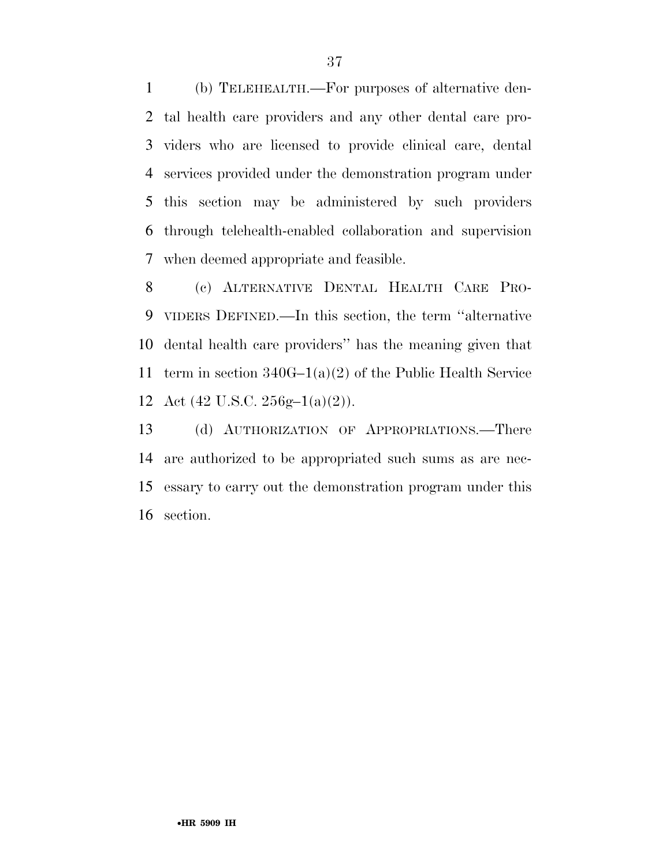(b) TELEHEALTH.—For purposes of alternative den- tal health care providers and any other dental care pro- viders who are licensed to provide clinical care, dental services provided under the demonstration program under this section may be administered by such providers through telehealth-enabled collaboration and supervision when deemed appropriate and feasible.

 (c) ALTERNATIVE DENTAL HEALTH CARE PRO- VIDERS DEFINED.—In this section, the term ''alternative dental health care providers'' has the meaning given that term in section 340G–1(a)(2) of the Public Health Service 12 Act  $(42 \text{ U.S.C. } 256 \text{g} - 1(a)(2))$ .

 (d) AUTHORIZATION OF APPROPRIATIONS.—There are authorized to be appropriated such sums as are nec- essary to carry out the demonstration program under this section.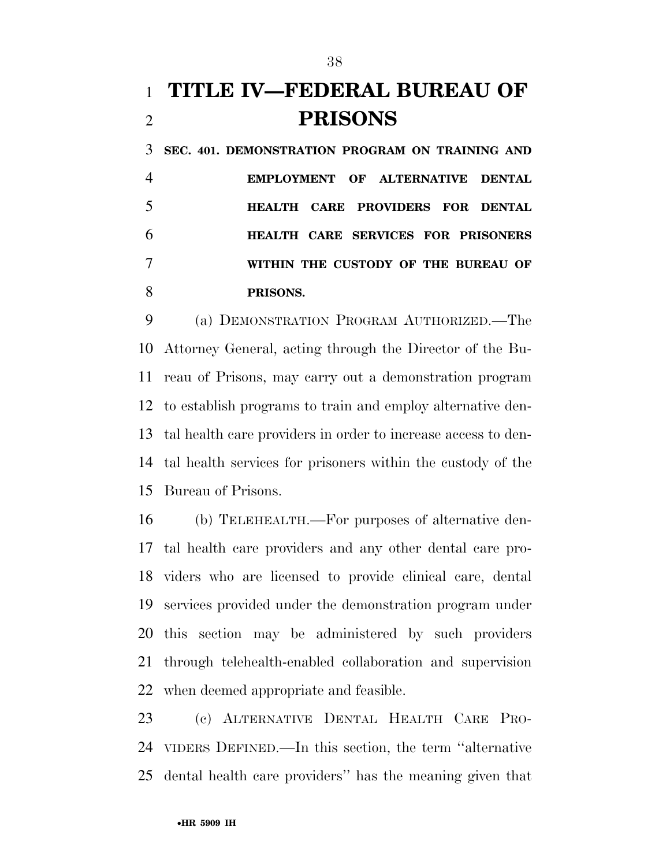# **TITLE IV—FEDERAL BUREAU OF PRISONS**

 **SEC. 401. DEMONSTRATION PROGRAM ON TRAINING AND EMPLOYMENT OF ALTERNATIVE DENTAL HEALTH CARE PROVIDERS FOR DENTAL HEALTH CARE SERVICES FOR PRISONERS WITHIN THE CUSTODY OF THE BUREAU OF PRISONS.** 

 (a) DEMONSTRATION PROGRAM AUTHORIZED.—The Attorney General, acting through the Director of the Bu- reau of Prisons, may carry out a demonstration program to establish programs to train and employ alternative den- tal health care providers in order to increase access to den- tal health services for prisoners within the custody of the Bureau of Prisons.

 (b) TELEHEALTH.—For purposes of alternative den- tal health care providers and any other dental care pro- viders who are licensed to provide clinical care, dental services provided under the demonstration program under this section may be administered by such providers through telehealth-enabled collaboration and supervision when deemed appropriate and feasible.

 (c) ALTERNATIVE DENTAL HEALTH CARE PRO- VIDERS DEFINED.—In this section, the term ''alternative dental health care providers'' has the meaning given that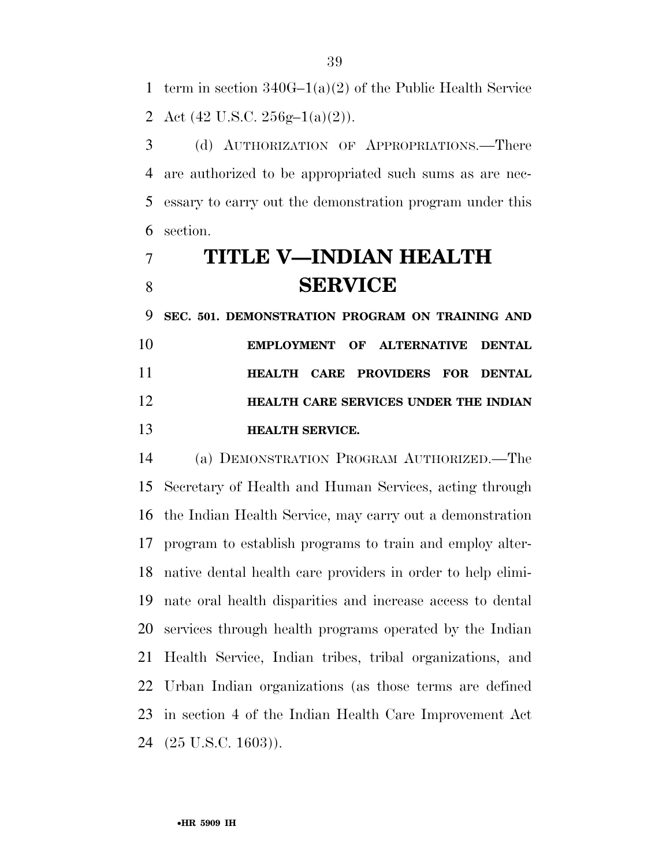term in section 340G–1(a)(2) of the Public Health Service 2 Act  $(42 \text{ U.S.C. } 256 \text{g} - 1(a)(2))$ .

 (d) AUTHORIZATION OF APPROPRIATIONS.—There are authorized to be appropriated such sums as are nec- essary to carry out the demonstration program under this section.

# **TITLE V—INDIAN HEALTH SERVICE**

 **SEC. 501. DEMONSTRATION PROGRAM ON TRAINING AND EMPLOYMENT OF ALTERNATIVE DENTAL HEALTH CARE PROVIDERS FOR DENTAL HEALTH CARE SERVICES UNDER THE INDIAN HEALTH SERVICE.** 

 (a) DEMONSTRATION PROGRAM AUTHORIZED.—The Secretary of Health and Human Services, acting through the Indian Health Service, may carry out a demonstration program to establish programs to train and employ alter- native dental health care providers in order to help elimi- nate oral health disparities and increase access to dental services through health programs operated by the Indian Health Service, Indian tribes, tribal organizations, and Urban Indian organizations (as those terms are defined in section 4 of the Indian Health Care Improvement Act (25 U.S.C. 1603)).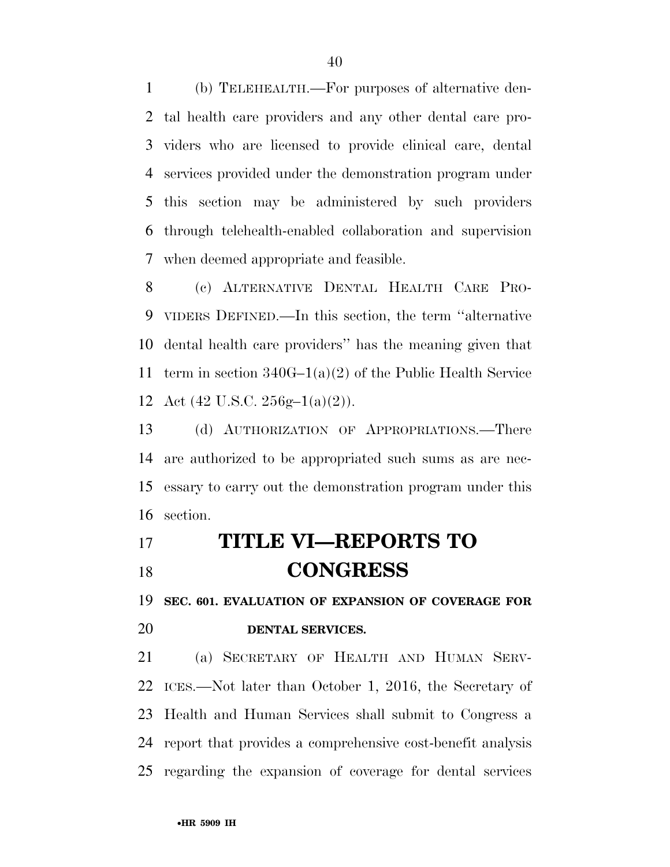(b) TELEHEALTH.—For purposes of alternative den- tal health care providers and any other dental care pro- viders who are licensed to provide clinical care, dental services provided under the demonstration program under this section may be administered by such providers through telehealth-enabled collaboration and supervision when deemed appropriate and feasible.

 (c) ALTERNATIVE DENTAL HEALTH CARE PRO- VIDERS DEFINED.—In this section, the term ''alternative dental health care providers'' has the meaning given that term in section 340G–1(a)(2) of the Public Health Service 12 Act  $(42 \text{ U.S.C. } 256 \text{g} - 1(a)(2))$ .

 (d) AUTHORIZATION OF APPROPRIATIONS.—There are authorized to be appropriated such sums as are nec- essary to carry out the demonstration program under this section.

# **TITLE VI—REPORTS TO CONGRESS**

**SEC. 601. EVALUATION OF EXPANSION OF COVERAGE FOR** 

# **DENTAL SERVICES.**

 (a) SECRETARY OF HEALTH AND HUMAN SERV- ICES.—Not later than October 1, 2016, the Secretary of Health and Human Services shall submit to Congress a report that provides a comprehensive cost-benefit analysis regarding the expansion of coverage for dental services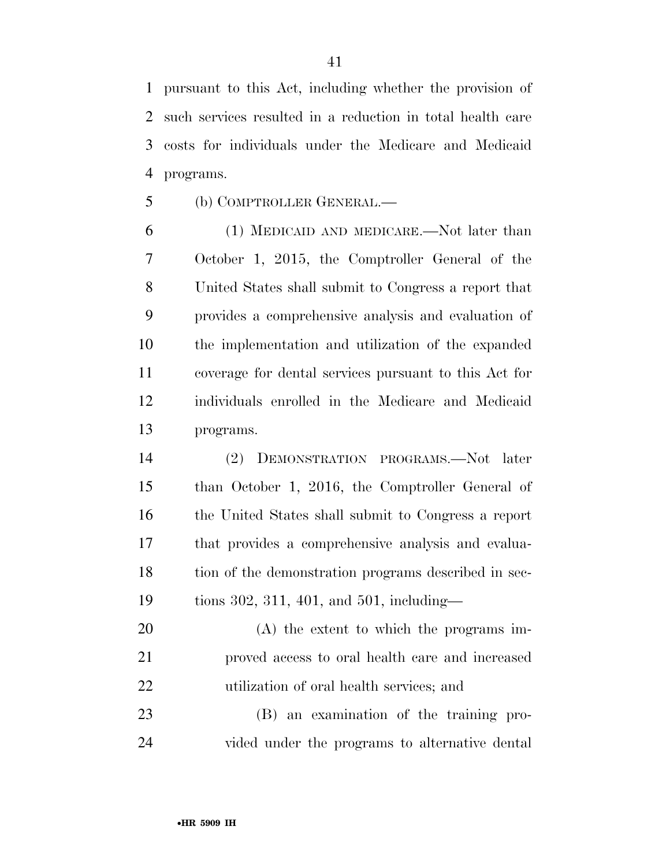pursuant to this Act, including whether the provision of such services resulted in a reduction in total health care costs for individuals under the Medicare and Medicaid programs.

(b) COMPTROLLER GENERAL.—

 (1) MEDICAID AND MEDICARE.—Not later than October 1, 2015, the Comptroller General of the United States shall submit to Congress a report that provides a comprehensive analysis and evaluation of the implementation and utilization of the expanded coverage for dental services pursuant to this Act for individuals enrolled in the Medicare and Medicaid programs.

 (2) DEMONSTRATION PROGRAMS.—Not later than October 1, 2016, the Comptroller General of the United States shall submit to Congress a report that provides a comprehensive analysis and evalua- tion of the demonstration programs described in sec-tions 302, 311, 401, and 501, including—

 (A) the extent to which the programs im- proved access to oral health care and increased utilization of oral health services; and

 (B) an examination of the training pro-vided under the programs to alternative dental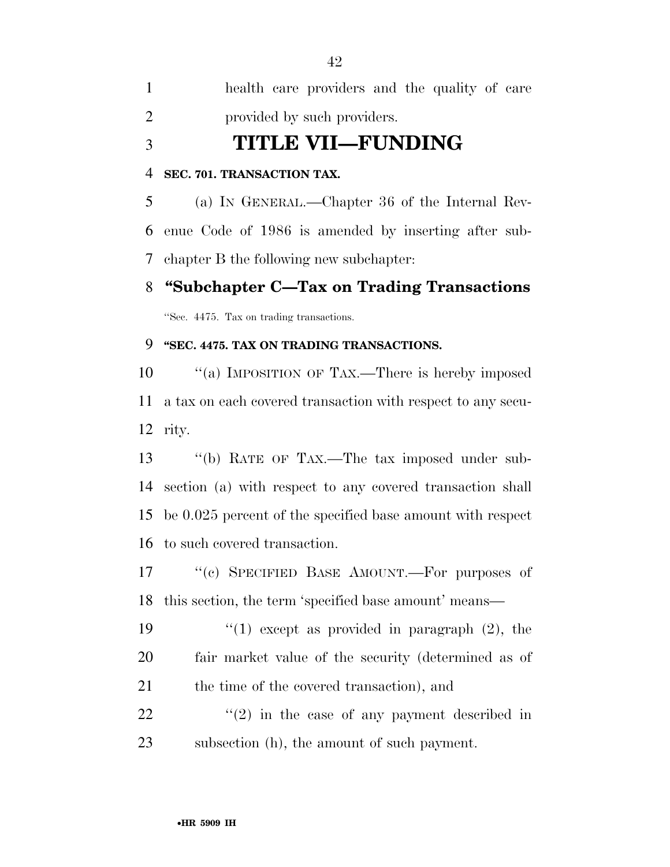health care providers and the quality of care provided by such providers.

**TITLE VII—FUNDING** 

## **SEC. 701. TRANSACTION TAX.**

 (a) IN GENERAL.—Chapter 36 of the Internal Rev- enue Code of 1986 is amended by inserting after sub-chapter B the following new subchapter:

# **''Subchapter C—Tax on Trading Transactions**

''Sec. 4475. Tax on trading transactions.

# **''SEC. 4475. TAX ON TRADING TRANSACTIONS.**

10 "(a) IMPOSITION OF TAX.—There is hereby imposed a tax on each covered transaction with respect to any secu-rity.

 ''(b) RATE OF TAX.—The tax imposed under sub- section (a) with respect to any covered transaction shall be 0.025 percent of the specified base amount with respect to such covered transaction.

17 "(c) SPECIFIED BASE AMOUNT.—For purposes of this section, the term 'specified base amount' means—

19  $\frac{1}{2}$  (1) except as provided in paragraph (2), the fair market value of the security (determined as of 21 the time of the covered transaction), and

22  $\langle \hat{u}(2) \rangle$  in the case of any payment described in subsection (h), the amount of such payment.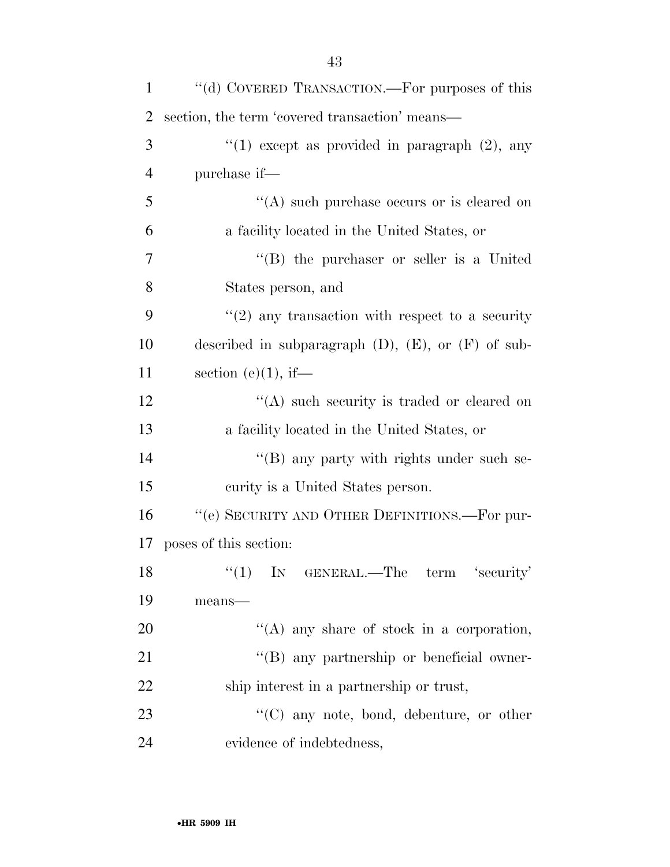| $\mathbf{1}$   | "(d) COVERED TRANSACTION.—For purposes of this             |
|----------------|------------------------------------------------------------|
| 2              | section, the term 'covered transaction' means—             |
| 3              | "(1) except as provided in paragraph $(2)$ , any           |
| $\overline{4}$ | purchase if—                                               |
| 5              | $\lq\lq$ such purchase occurs or is cleared on             |
| 6              | a facility located in the United States, or                |
| 7              | "(B) the purchaser or seller is a United                   |
| 8              | States person, and                                         |
| 9              | $\cdot\cdot(2)$ any transaction with respect to a security |
| 10             | described in subparagraph $(D)$ , $(E)$ , or $(F)$ of sub- |
| 11             | section (e) $(1)$ , if—                                    |
| 12             | $\lq\lq$ such security is traded or cleared on             |
| 13             | a facility located in the United States, or                |
| 14             | $\lq\lq (B)$ any party with rights under such se-          |
| 15             | curity is a United States person.                          |
| 16             | "(e) SECURITY AND OTHER DEFINITIONS.—For pur-              |
| 17             | poses of this section:                                     |
| 18             | $(1)$ IN GENERAL.—The term 'security'                      |
| 19             | means-                                                     |
| 20             | $\lq\lq$ any share of stock in a corporation,              |
| 21             | "(B) any partnership or beneficial owner-                  |
| 22             | ship interest in a partnership or trust,                   |
| 23             | $\lq\lq$ (C) any note, bond, debenture, or other           |
| 24             | evidence of indebtedness,                                  |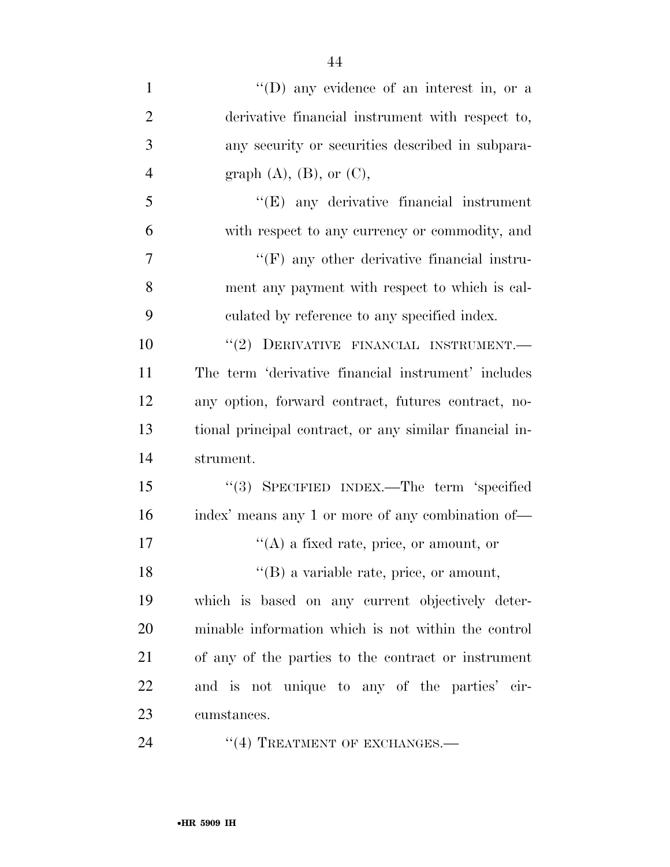| $\mathbf{1}$   | "(D) any evidence of an interest in, or a               |
|----------------|---------------------------------------------------------|
| $\overline{2}$ | derivative financial instrument with respect to,        |
| 3              | any security or securities described in subpara-        |
| $\overline{4}$ | graph $(A)$ , $(B)$ , or $(C)$ ,                        |
| 5              | $\lq\lq$ (E) any derivative financial instrument        |
| 6              | with respect to any currency or commodity, and          |
| 7              | $\lq\lq(F)$ any other derivative financial instru-      |
| 8              | ment any payment with respect to which is cal-          |
| 9              | culated by reference to any specified index.            |
| 10             | "(2) DERIVATIVE FINANCIAL INSTRUMENT.-                  |
| 11             | The term 'derivative financial instrument' includes     |
| 12             | any option, forward contract, futures contract, no-     |
| 13             | tional principal contract, or any similar financial in- |
| 14             | strument.                                               |
| 15             | "(3) SPECIFIED INDEX.—The term 'specified               |
| 16             | index' means any 1 or more of any combination of—       |
| 17             | $\lq\lq$ (A) a fixed rate, price, or amount, or         |
| 18             | $\lq\lq$ (B) a variable rate, price, or amount,         |
| 19             | which is based on any current objectively deter-        |
| 20             | minable information which is not within the control     |
| 21             | of any of the parties to the contract or instrument     |
| 22             | and is not unique to any of the parties' cir-           |
| 23             | cumstances.                                             |
| $\bigcap$      |                                                         |

24 "(4) TREATMENT OF EXCHANGES.—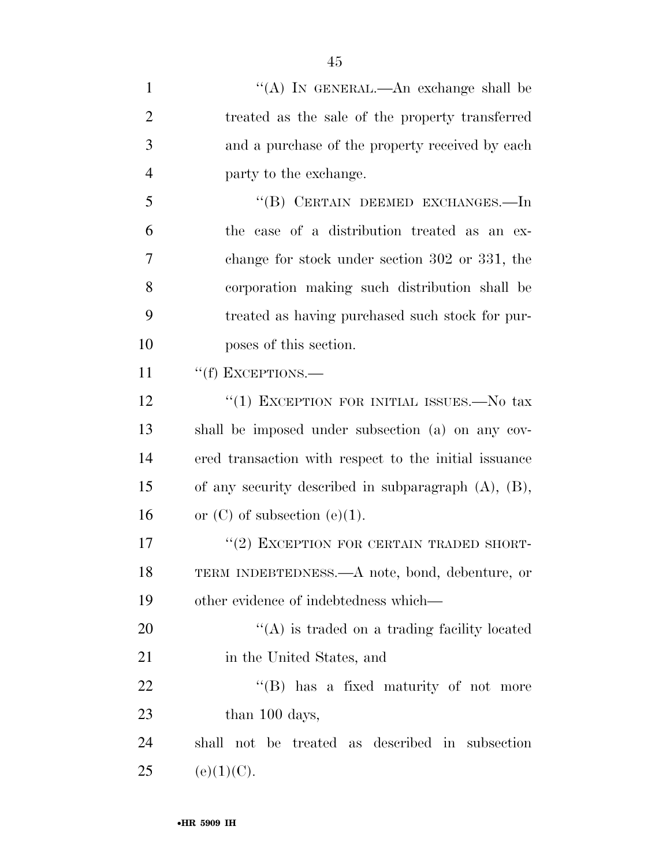| $\mathbf{1}$   | "(A) IN GENERAL.—An exchange shall be                     |
|----------------|-----------------------------------------------------------|
| $\overline{2}$ | treated as the sale of the property transferred           |
| 3              | and a purchase of the property received by each           |
| 4              | party to the exchange.                                    |
| 5              | "(B) CERTAIN DEEMED EXCHANGES.—In                         |
| 6              | the case of a distribution treated as an ex-              |
| 7              | change for stock under section 302 or 331, the            |
| 8              | corporation making such distribution shall be             |
| 9              | treated as having purchased such stock for pur-           |
| 10             | poses of this section.                                    |
| 11             | "(f) EXCEPTIONS.-                                         |
| 12             | "(1) EXCEPTION FOR INITIAL ISSUES.—No tax                 |
| 13             | shall be imposed under subsection (a) on any cov-         |
| 14             | ered transaction with respect to the initial issuance     |
| 15             | of any security described in subparagraph $(A)$ , $(B)$ , |
| 16             | or $(C)$ of subsection $(e)(1)$ .                         |
| 17             | "(2) EXCEPTION FOR CERTAIN TRADED SHORT-                  |
| 18             | TERM INDEBTEDNESS.—A note, bond, debenture, or            |
| 19             | other evidence of indebtedness which—                     |
| 20             | $\lq\lq$ is traded on a trading facility located          |
| 21             | in the United States, and                                 |
| 22             | "(B) has a fixed maturity of not more                     |
| 23             | than 100 days,                                            |
| 24             | shall not be treated as described in subsection           |
| 25             | (e)(1)(C).                                                |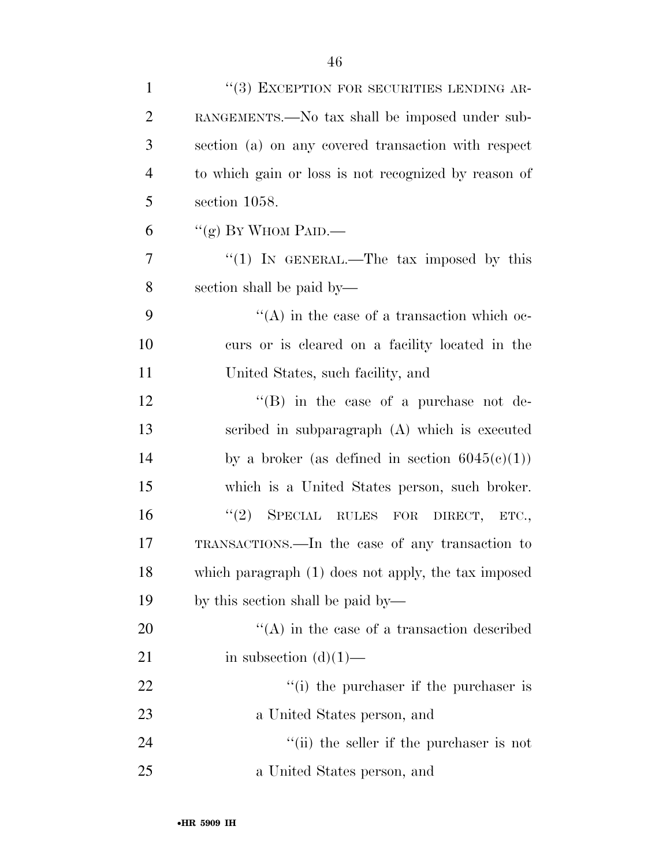| $\mathbf{1}$   | "(3) EXCEPTION FOR SECURITIES LENDING AR-                  |
|----------------|------------------------------------------------------------|
| $\overline{2}$ | RANGEMENTS.—No tax shall be imposed under sub-             |
| 3              | section (a) on any covered transaction with respect        |
| $\overline{4}$ | to which gain or loss is not recognized by reason of       |
| 5              | section 1058.                                              |
| 6              | "(g) BY WHOM PAID.—                                        |
| 7              | "(1) IN GENERAL.—The tax imposed by this                   |
| 8              | section shall be paid by—                                  |
| 9              | $\lq\lq$ in the case of a transaction which oc-            |
| 10             | curs or is cleared on a facility located in the            |
| 11             | United States, such facility, and                          |
| 12             | "(B) in the case of a purchase not de-                     |
| 13             | scribed in subparagraph (A) which is executed              |
| 14             | by a broker (as defined in section $6045(c)(1)$ )          |
| 15             | which is a United States person, such broker.              |
| 16             | (2)<br>SPECIAL RULES FOR DIRECT, ETC.,                     |
| 17             | TRANSACTIONS.—In the case of any transaction to            |
| 18             | which paragraph (1) does not apply, the tax imposed        |
| 19             | by this section shall be paid by—                          |
| 20             | $\lq\lq$ in the case of a transaction described            |
| 21             | in subsection $(d)(1)$ —                                   |
| 22             | $f'(i)$ the purchaser if the purchaser is                  |
| 23             | a United States person, and                                |
| 24             | $\lq$ <sup>"</sup> (ii) the seller if the purchaser is not |
| 25             | a United States person, and                                |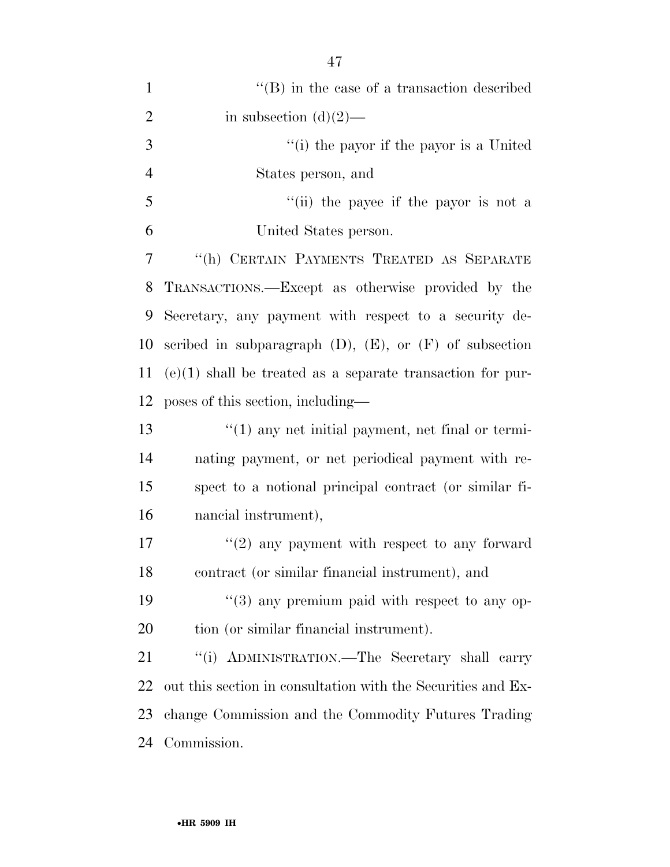| $\mathbf{1}$   | $\lq\lq$ (B) in the case of a transaction described            |
|----------------|----------------------------------------------------------------|
| $\overline{2}$ | in subsection $(d)(2)$ —                                       |
| 3              | "(i) the payor if the payor is a United                        |
| $\overline{4}$ | States person, and                                             |
| 5              | "(ii) the payee if the payor is not a                          |
| 6              | United States person.                                          |
| 7              | "(h) CERTAIN PAYMENTS TREATED AS SEPARATE                      |
| 8              | TRANSACTIONS.—Except as otherwise provided by the              |
| 9              | Secretary, any payment with respect to a security de-          |
| 10             | scribed in subparagraph $(D)$ , $(E)$ , or $(F)$ of subsection |
| 11             | $(e)(1)$ shall be treated as a separate transaction for pur-   |
| 12             | poses of this section, including—                              |
| 13             | $\lq(1)$ any net initial payment, net final or termi-          |
| 14             | nating payment, or net periodical payment with re-             |
| 15             | spect to a notional principal contract (or similar fi-         |
| 16             | nancial instrument),                                           |
| 17             | $\lq(2)$ any payment with respect to any forward               |
| 18             | contract (or similar financial instrument), and                |
| 19             | $(3)$ any premium paid with respect to any op-                 |
| 20             | tion (or similar financial instrument).                        |
| 21             | "(i) ADMINISTRATION.—The Secretary shall carry                 |
| 22             | out this section in consultation with the Securities and Ex-   |
| 23             | change Commission and the Commodity Futures Trading            |
| 24             | Commission.                                                    |